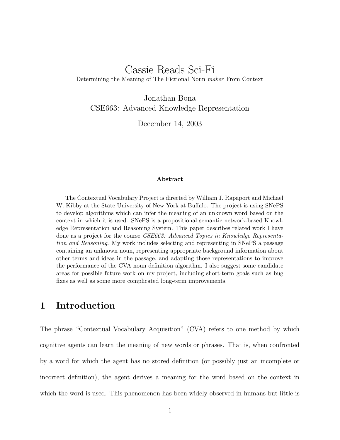# Cassie Reads Sci-Fi Determining the Meaning of The Fictional Noun maker From Context

Jonathan Bona CSE663: Advanced Knowledge Representation

December 14, 2003

#### Abstract

The Contextual Vocabulary Project is directed by William J. Rapaport and Michael W. Kibby at the State University of New York at Buffalo. The project is using SNePS to develop algorithms which can infer the meaning of an unknown word based on the context in which it is used. SNePS is a propositional semantic network-based Knowledge Representation and Reasoning System. This paper describes related work I have done as a project for the course CSE663: Advanced Topics in Knowledge Representation and Reasoning. My work includes selecting and representing in SNePS a passage containing an unknown noun, representing appropriate background information about other terms and ideas in the passage, and adapting those representations to improve the performance of the CVA noun definition algorithm. I also suggest some candidate areas for possible future work on my project, including short-term goals such as bug fixes as well as some more complicated long-term improvements.

# 1 Introduction

The phrase "Contextual Vocabulary Acquisition" (CVA) refers to one method by which cognitive agents can learn the meaning of new words or phrases. That is, when confronted by a word for which the agent has no stored definition (or possibly just an incomplete or incorrect definition), the agent derives a meaning for the word based on the context in which the word is used. This phenomenon has been widely observed in humans but little is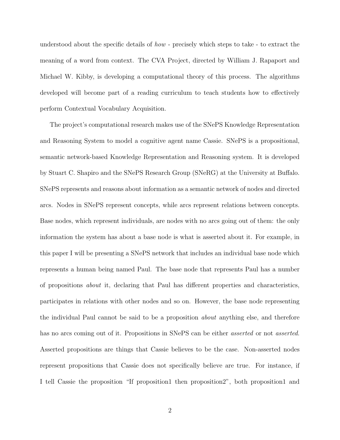understood about the specific details of *how* - precisely which steps to take - to extract the meaning of a word from context. The CVA Project, directed by William J. Rapaport and Michael W. Kibby, is developing a computational theory of this process. The algorithms developed will become part of a reading curriculum to teach students how to effectively perform Contextual Vocabulary Acquisition.

The project's computational research makes use of the SNePS Knowledge Representation and Reasoning System to model a cognitive agent name Cassie. SNePS is a propositional, semantic network-based Knowledge Representation and Reasoning system. It is developed by Stuart C. Shapiro and the SNePS Research Group (SNeRG) at the University at Buffalo. SNePS represents and reasons about information as a semantic network of nodes and directed arcs. Nodes in SNePS represent concepts, while arcs represent relations between concepts. Base nodes, which represent individuals, are nodes with no arcs going out of them: the only information the system has about a base node is what is asserted about it. For example, in this paper I will be presenting a SNePS network that includes an individual base node which represents a human being named Paul. The base node that represents Paul has a number of propositions about it, declaring that Paul has different properties and characteristics, participates in relations with other nodes and so on. However, the base node representing the individual Paul cannot be said to be a proposition about anything else, and therefore has no arcs coming out of it. Propositions in SNePS can be either *asserted* or not *asserted*. Asserted propositions are things that Cassie believes to be the case. Non-asserted nodes represent propositions that Cassie does not specifically believe are true. For instance, if I tell Cassie the proposition "If proposition1 then proposition2", both proposition1 and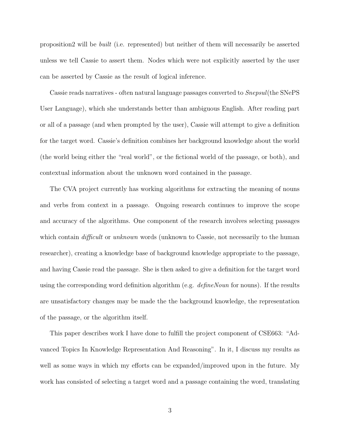proposition2 will be built (i.e. represented) but neither of them will necessarily be asserted unless we tell Cassie to assert them. Nodes which were not explicitly asserted by the user can be asserted by Cassie as the result of logical inference.

Cassie reads narratives - often natural language passages converted to *Snepsul* (the SNePS User Language), which she understands better than ambiguous English. After reading part or all of a passage (and when prompted by the user), Cassie will attempt to give a definition for the target word. Cassie's definition combines her background knowledge about the world (the world being either the "real world", or the fictional world of the passage, or both), and contextual information about the unknown word contained in the passage.

The CVA project currently has working algorithms for extracting the meaning of nouns and verbs from context in a passage. Ongoing research continues to improve the scope and accuracy of the algorithms. One component of the research involves selecting passages which contain *difficult* or *unknown* words (unknown to Cassie, not necessarily to the human researcher), creating a knowledge base of background knowledge appropriate to the passage, and having Cassie read the passage. She is then asked to give a definition for the target word using the corresponding word definition algorithm (e.g.  $\ell$ efineNoun for nouns). If the results are unsatisfactory changes may be made the the background knowledge, the representation of the passage, or the algorithm itself.

This paper describes work I have done to fulfill the project component of CSE663: "Advanced Topics In Knowledge Representation And Reasoning". In it, I discuss my results as well as some ways in which my efforts can be expanded/improved upon in the future. My work has consisted of selecting a target word and a passage containing the word, translating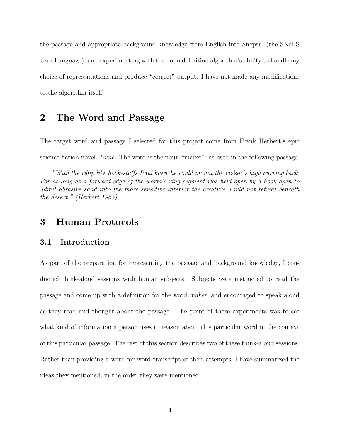the passage and appropriate background knowledge from English into Snepsul (the SNePS User Language), and experimenting with the noun definition algorithm's ability to handle my choice of representations and produce "correct" output. I have not made any modifications to the algorithm itself.

# 2 The Word and Passage

The target word and passage I selected for this project come from Frank Herbert's epic science fiction novel, *Dune*. The word is the noun "maker", as used in the following passage.

"With the whip like hook-staffs Paul knew he could mount the maker's high curving back. For as long as a forward edge of the worm's ring segment was held open by a hook open to admit abrasive sand into the more sensitive interior the creature would not retreat beneath the desert." (Herbert 1965)

# 3 Human Protocols

### 3.1 Introduction

As part of the preparation for representing the passage and background knowledge, I conducted think-aloud sessions with human subjects. Subjects were instructed to read the passage and come up with a definition for the word maker, and encouraged to speak aloud as they read and thought about the passage. The point of these experiments was to see what kind of information a person uses to reason about this particular word in the context of this particular passage. The rest of this section describes two of these think-aloud sessions. Rather than providing a word for word transcript of their attempts, I have summarized the ideas they mentioned, in the order they were mentioned.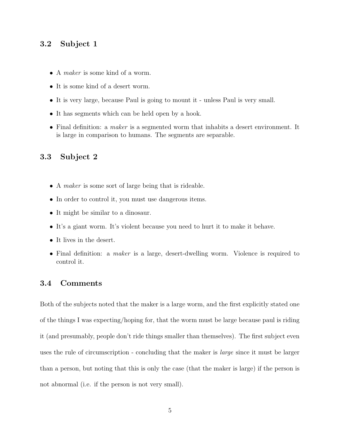### 3.2 Subject 1

- A *maker* is some kind of a worm.
- It is some kind of a desert worm.
- It is very large, because Paul is going to mount it unless Paul is very small.
- It has segments which can be held open by a hook.
- Final definition: a maker is a segmented worm that inhabits a desert environment. It is large in comparison to humans. The segments are separable.

### 3.3 Subject 2

- A *maker* is some sort of large being that is rideable.
- In order to control it, you must use dangerous items.
- It might be similar to a dinosaur.
- It's a giant worm. It's violent because you need to hurt it to make it behave.
- It lives in the desert.
- Final definition: a *maker* is a large, desert-dwelling worm. Violence is required to control it.

### 3.4 Comments

Both of the subjects noted that the maker is a large worm, and the first explicitly stated one of the things I was expecting/hoping for, that the worm must be large because paul is riding it (and presumably, people don't ride things smaller than themselves). The first subject even uses the rule of circumscription - concluding that the maker is *large* since it must be larger than a person, but noting that this is only the case (that the maker is large) if the person is not abnormal (i.e. if the person is not very small).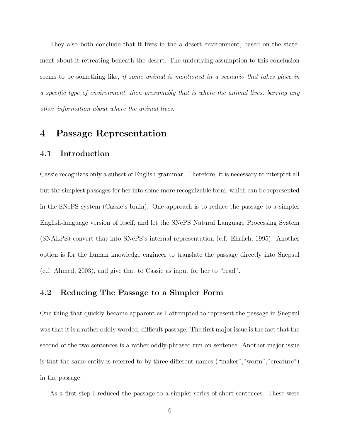They also both conclude that it lives in the a desert environment, based on the statement about it retreating beneath the desert. The underlying assumption to this conclusion seems to be something like, if some animal is mentioned in a scenario that takes place in a specific type of environment, then presumably that is where the animal lives, barring any other information about where the animal lives.

# 4 Passage Representation

### 4.1 Introduction

Cassie recognizes only a subset of English grammar. Therefore, it is necessary to interpret all but the simplest passages for her into some more recognizable form, which can be represented in the SNePS system (Cassie's brain). One approach is to reduce the passage to a simpler English-language version of itself, and let the SNePS Natural Language Processing System (SNALPS) convert that into SNePS's internal representation (c.f. Ehrlich, 1995). Another option is for the human knowledge engineer to translate the passage directly into Snepsul (c.f. Ahmed, 2003), and give that to Cassie as input for her to "read".

#### 4.2 Reducing The Passage to a Simpler Form

One thing that quickly became apparent as I attempted to represent the passage in Snepsul was that it is a rather oddly worded, difficult passage. The first major issue is the fact that the second of the two sentences is a rather oddly-phrased run on sentence. Another major issue is that the same entity is referred to by three different names ("maker","worm","creature") in the passage.

As a first step I reduced the passage to a simpler series of short sentences. These were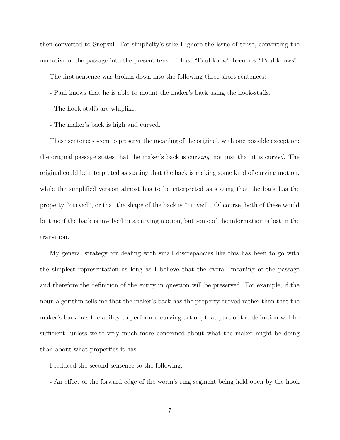then converted to Snepsul. For simplicity's sake I ignore the issue of tense, converting the narrative of the passage into the present tense. Thus, "Paul knew" becomes "Paul knows".

The first sentence was broken down into the following three short sentences:

- Paul knows that he is able to mount the maker's back using the hook-staffs.
- The hook-staffs are whiplike.
- The maker's back is high and curved.

These sentences seem to preserve the meaning of the original, with one possible exception: the original passage states that the maker's back is curving, not just that it is curved. The original could be interpreted as stating that the back is making some kind of curving motion, while the simplified version almost has to be interpreted as stating that the back has the property "curved", or that the shape of the back is "curved". Of course, both of these would be true if the back is involved in a curving motion, but some of the information is lost in the transition.

My general strategy for dealing with small discrepancies like this has been to go with the simplest representation as long as I believe that the overall meaning of the passage and therefore the definition of the entity in question will be preserved. For example, if the noun algorithm tells me that the maker's back has the property curved rather than that the maker's back has the ability to perform a curving action, that part of the definition will be sufficient- unless we're very much more concerned about what the maker might be doing than about what properties it has.

I reduced the second sentence to the following:

- An effect of the forward edge of the worm's ring segment being held open by the hook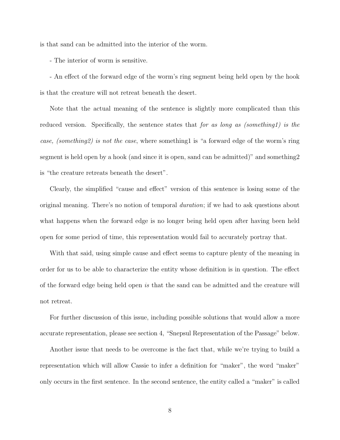is that sand can be admitted into the interior of the worm.

- The interior of worm is sensitive.

- An effect of the forward edge of the worm's ring segment being held open by the hook is that the creature will not retreat beneath the desert.

Note that the actual meaning of the sentence is slightly more complicated than this reduced version. Specifically, the sentence states that for as long as (something1) is the case, (something2) is not the case, where something1 is "a forward edge of the worm's ring segment is held open by a hook (and since it is open, sand can be admitted)" and something2 is "the creature retreats beneath the desert".

Clearly, the simplified "cause and effect" version of this sentence is losing some of the original meaning. There's no notion of temporal duration; if we had to ask questions about what happens when the forward edge is no longer being held open after having been held open for some period of time, this representation would fail to accurately portray that.

With that said, using simple cause and effect seems to capture plenty of the meaning in order for us to be able to characterize the entity whose definition is in question. The effect of the forward edge being held open is that the sand can be admitted and the creature will not retreat.

For further discussion of this issue, including possible solutions that would allow a more accurate representation, please see section 4, "Snepsul Representation of the Passage" below.

Another issue that needs to be overcome is the fact that, while we're trying to build a representation which will allow Cassie to infer a definition for "maker", the word "maker" only occurs in the first sentence. In the second sentence, the entity called a "maker" is called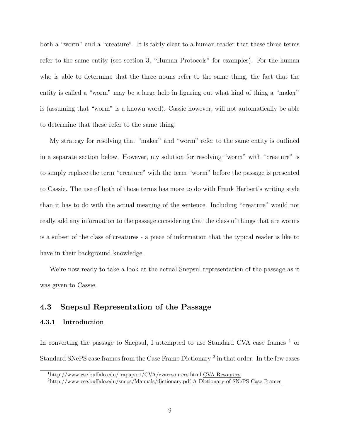both a "worm" and a "creature". It is fairly clear to a human reader that these three terms refer to the same entity (see section 3, "Human Protocols" for examples). For the human who is able to determine that the three nouns refer to the same thing, the fact that the entity is called a "worm" may be a large help in figuring out what kind of thing a "maker" is (assuming that "worm" is a known word). Cassie however, will not automatically be able to determine that these refer to the same thing.

My strategy for resolving that "maker" and "worm" refer to the same entity is outlined in a separate section below. However, my solution for resolving "worm" with "creature" is to simply replace the term "creature" with the term "worm" before the passage is presented to Cassie. The use of both of those terms has more to do with Frank Herbert's writing style than it has to do with the actual meaning of the sentence. Including "creature" would not really add any information to the passage considering that the class of things that are worms is a subset of the class of creatures - a piece of information that the typical reader is like to have in their background knowledge.

We're now ready to take a look at the actual Snepsul representation of the passage as it was given to Cassie.

#### 4.3 Snepsul Representation of the Passage

#### 4.3.1 Introduction

In converting the passage to Snepsul, I attempted to use Standard CVA case frames  $<sup>1</sup>$  or</sup> Standard SNePS case frames from the Case Frame Dictionary<sup>2</sup> in that order. In the few cases

<sup>1</sup>http://www.cse.buffalo.edu/ rapaport/CVA/cvaresources.html CVA Resources

<sup>2</sup>http://www.cse.buffalo.edu/sneps/Manuals/dictionary.pdf A Dictionary of SNePS Case Frames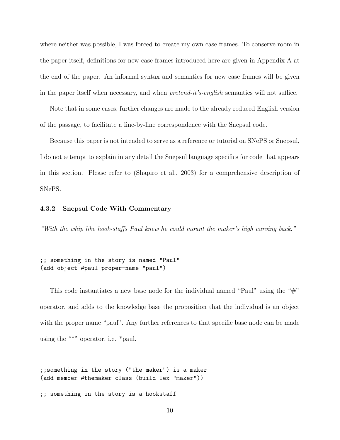where neither was possible, I was forced to create my own case frames. To conserve room in the paper itself, definitions for new case frames introduced here are given in Appendix A at the end of the paper. An informal syntax and semantics for new case frames will be given in the paper itself when necessary, and when *pretend-it's-english* semantics will not suffice.

Note that in some cases, further changes are made to the already reduced English version of the passage, to facilitate a line-by-line correspondence with the Snepsul code.

Because this paper is not intended to serve as a reference or tutorial on SNePS or Snepsul, I do not attempt to explain in any detail the Snepsul language specifics for code that appears in this section. Please refer to (Shapiro et al., 2003) for a comprehensive description of SNePS.

#### 4.3.2 Snepsul Code With Commentary

"With the whip like hook-staffs Paul knew he could mount the maker's high curving back."

;; something in the story is named "Paul" (add object #paul proper-name "paul")

This code instantiates a new base node for the individual named "Paul" using the "#" operator, and adds to the knowledge base the proposition that the individual is an object with the proper name "paul". Any further references to that specific base node can be made using the "\*" operator, i.e. \*paul.

;;something in the story ("the maker") is a maker (add member #themaker class (build lex "maker"))

;; something in the story is a hookstaff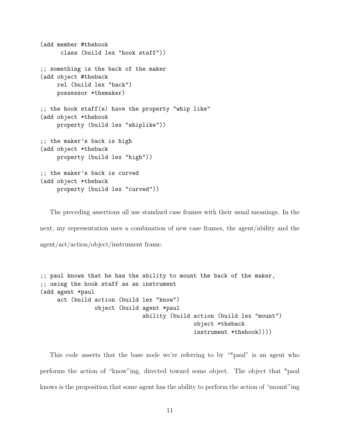```
(add member #thehook
      class (build lex "hook staff"))
;; something is the back of the maker
(add object #theback
     rel (build lex "back")
     possessor *themaker)
;; the hook staff(s) have the property "whip like"
(add object *thehook
    property (build lex "whiplike"))
;; the maker's back is high
(add object *theback
    property (build lex "high"))
;; the maker's back is curved
(add object *theback
     property (build lex "curved"))
```
The preceding assertions all use standard case frames with their usual meanings. In the next, my representation uses a combination of new case frames, the agent/ability and the agent/act/action/object/instrument frame.

```
;; paul knows that he has the ability to mount the back of the maker,
;; using the hook staff as an instrument
(add agent *paul
    act (build action (build lex "know")
                object (build agent *paul
                              ability (build action (build lex "mount")
                                             object *theback
                                              instrument *thehook))))
```
This code asserts that the base node we're referring to by "\*paul" is an agent who performs the action of "know"ing, directed toward some object. The object that \*paul knows is the proposition that some agent has the ability to perform the action of "mount"ing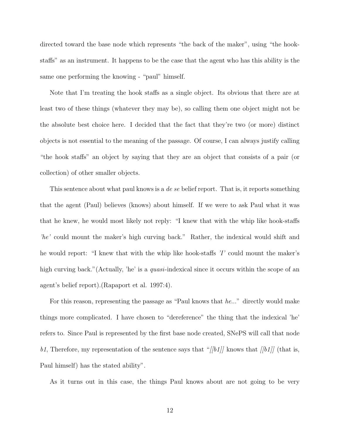directed toward the base node which represents "the back of the maker", using "the hookstaffs" as an instrument. It happens to be the case that the agent who has this ability is the same one performing the knowing - "paul" himself.

Note that I'm treating the hook staffs as a single object. Its obvious that there are at least two of these things (whatever they may be), so calling them one object might not be the absolute best choice here. I decided that the fact that they're two (or more) distinct objects is not essential to the meaning of the passage. Of course, I can always justify calling "the hook staffs" an object by saying that they are an object that consists of a pair (or collection) of other smaller objects.

This sentence about what paul knows is a *de se* belief report. That is, it reports something that the agent (Paul) believes (knows) about himself. If we were to ask Paul what it was that he knew, he would most likely not reply: "I knew that with the whip like hook-staffs 'he' could mount the maker's high curving back." Rather, the indexical would shift and he would report: "I knew that with the whip like hook-staffs 'I' could mount the maker's high curving back." (Actually, 'he' is a *quasi*-indexical since it occurs within the scope of an agent's belief report).(Rapaport et al. 1997:4).

For this reason, representing the passage as "Paul knows that he..." directly would make things more complicated. I have chosen to "dereference" the thing that the indexical 'he' refers to. Since Paul is represented by the first base node created, SNePS will call that node b1, Therefore, my representation of the sentence says that "[[b1]] knows that [[b1]] (that is, Paul himself) has the stated ability".

As it turns out in this case, the things Paul knows about are not going to be very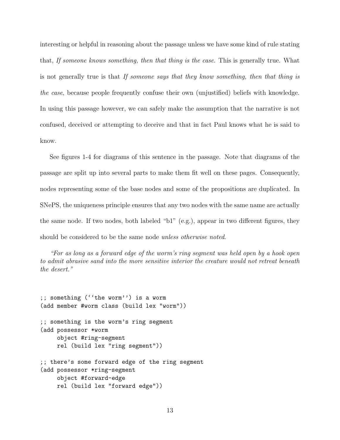interesting or helpful in reasoning about the passage unless we have some kind of rule stating that, If someone knows something, then that thing is the case. This is generally true. What is not generally true is that If someone says that they know something, then that thing is the case, because people frequently confuse their own (unjustified) beliefs with knowledge. In using this passage however, we can safely make the assumption that the narrative is not confused, deceived or attempting to deceive and that in fact Paul knows what he is said to know.

See figures 1-4 for diagrams of this sentence in the passage. Note that diagrams of the passage are split up into several parts to make them fit well on these pages. Consequently, nodes representing some of the base nodes and some of the propositions are duplicated. In SNePS, the uniqueness principle ensures that any two nodes with the same name are actually the same node. If two nodes, both labeled "b1" (e.g.), appear in two different figures, they should be considered to be the same node *unless otherwise noted*.

"For as long as a forward edge of the worm's ring segment was held open by a hook open to admit abrasive sand into the more sensitive interior the creature would not retreat beneath the desert."

```
;; something (''the worm'') is a worm
(add member #worm class (build lex "worm"))
;; something is the worm's ring segment
(add possessor *worm
    object #ring-segment
    rel (build lex "ring segment"))
;; there's some forward edge of the ring segment
(add possessor *ring-segment
    object #forward-edge
    rel (build lex "forward edge"))
```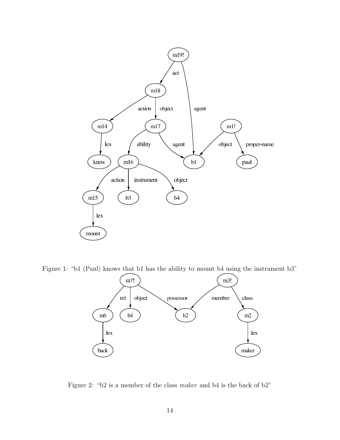

Figure 1: "b1 (Paul) knows that b1 has the ability to mount b4 using the instrument b3"



Figure 2: "b2 is a member of the class maker and b4 is the back of b2"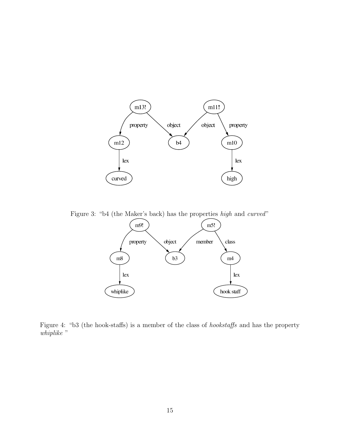

Figure 3: "b4 (the Maker's back) has the properties high and curved"



Figure 4: "b3 (the hook-staffs) is a member of the class of hookstaffs and has the property whiplike "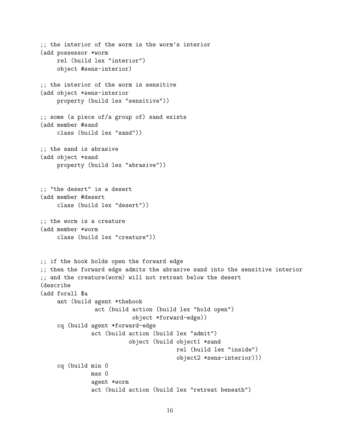```
;; the interior of the worm is the worm's interior
(add possessor *worm
    rel (build lex "interior")
    object #sens-interior)
;; the interior of the worm is sensitive
(add object *sens-interior
    property (build lex "sensitive"))
;; some (a piece of/a group of) sand exists
(add member #sand
    class (build lex "sand"))
;; the sand is abrasive
(add object *sand
    property (build lex "abrasive"))
;; "the desert" is a desert
(add member #desert
    class (build lex "desert"))
;; the worm is a creature
(add member *worm
    class (build lex "creature"))
;; if the hook holds open the forward edge
;; then the forward edge admits the abrasive sand into the sensitive interior
;; and the creature(worm) will not retreat below the desert
(describe
(add forall $a
    ant (build agent *thehook
                act (build action (build lex "hold open")
                           object *forward-edge))
     cq (build agent *forward-edge
               act (build action (build lex "admit")
                          object (build object1 *sand
                                        rel (build lex "inside")
                                        object2 *sens-interior)))
     cq (build min 0
               max 0
               agent *worm
               act (build action (build lex "retreat beneath")
```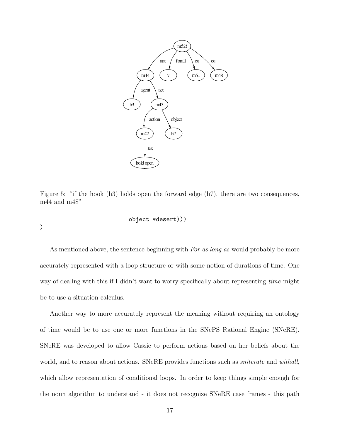

Figure 5: "if the hook (b3) holds open the forward edge (b7), there are two consequences, m44 and m48"

object \*desert)))

)

As mentioned above, the sentence beginning with For as long as would probably be more accurately represented with a loop structure or with some notion of durations of time. One way of dealing with this if I didn't want to worry specifically about representing time might be to use a situation calculus.

Another way to more accurately represent the meaning without requiring an ontology of time would be to use one or more functions in the SNePS Rational Engine (SNeRE). SNeRE was developed to allow Cassie to perform actions based on her beliefs about the world, and to reason about actions. SNeRE provides functions such as *sniterate* and *withall*, which allow representation of conditional loops. In order to keep things simple enough for the noun algorithm to understand - it does not recognize SNeRE case frames - this path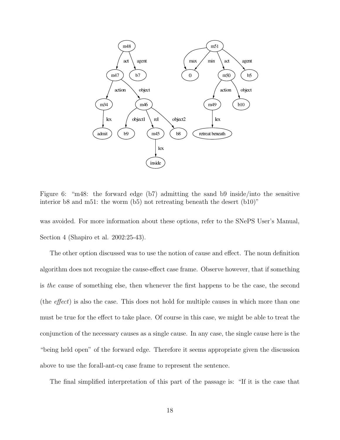

Figure 6: "m48: the forward edge (b7) admitting the sand b9 inside/into the sensitive interior b8 and m51: the worm (b5) not retreating beneath the desert (b10)"

was avoided. For more information about these options, refer to the SNePS User's Manual, Section 4 (Shapiro et al. 2002:25-43).

The other option discussed was to use the notion of cause and effect. The noun definition algorithm does not recognize the cause-effect case frame. Observe however, that if something is the cause of something else, then whenever the first happens to be the case, the second (the effect) is also the case. This does not hold for multiple causes in which more than one must be true for the effect to take place. Of course in this case, we might be able to treat the conjunction of the necessary causes as a single cause. In any case, the single cause here is the "being held open" of the forward edge. Therefore it seems appropriate given the discussion above to use the forall-ant-cq case frame to represent the sentence.

The final simplified interpretation of this part of the passage is: "If it is the case that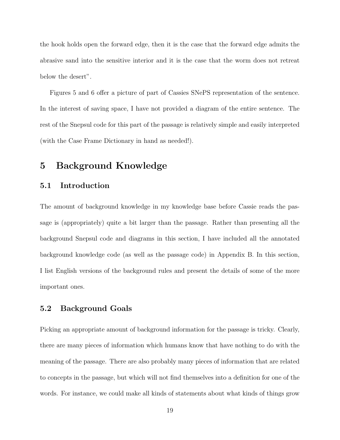the hook holds open the forward edge, then it is the case that the forward edge admits the abrasive sand into the sensitive interior and it is the case that the worm does not retreat below the desert".

Figures 5 and 6 offer a picture of part of Cassies SNePS representation of the sentence. In the interest of saving space, I have not provided a diagram of the entire sentence. The rest of the Snepsul code for this part of the passage is relatively simple and easily interpreted (with the Case Frame Dictionary in hand as needed!).

# 5 Background Knowledge

### 5.1 Introduction

The amount of background knowledge in my knowledge base before Cassie reads the passage is (appropriately) quite a bit larger than the passage. Rather than presenting all the background Snepsul code and diagrams in this section, I have included all the annotated background knowledge code (as well as the passage code) in Appendix B. In this section, I list English versions of the background rules and present the details of some of the more important ones.

#### 5.2 Background Goals

Picking an appropriate amount of background information for the passage is tricky. Clearly, there are many pieces of information which humans know that have nothing to do with the meaning of the passage. There are also probably many pieces of information that are related to concepts in the passage, but which will not find themselves into a definition for one of the words. For instance, we could make all kinds of statements about what kinds of things grow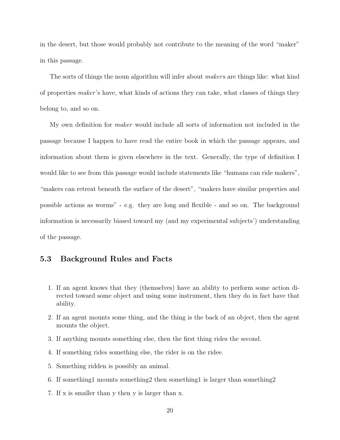in the desert, but those would probably not contribute to the meaning of the word "maker" in this passage.

The sorts of things the noun algorithm will infer about *makers* are things like: what kind of properties maker 's have, what kinds of actions they can take, what classes of things they belong to, and so on.

My own definition for *maker* would include all sorts of information not included in the passage because I happen to have read the entire book in which the passage appears, and information about them is given elsewhere in the text. Generally, the type of definition I would like to see from this passage would include statements like "humans can ride makers", "makers can retreat beneath the surface of the desert", "makers have similar properties and possible actions as worms" - e.g. they are long and flexible - and so on. The background information is necessarily biased toward my (and my experimental subjects') understanding of the passage.

### 5.3 Background Rules and Facts

- 1. If an agent knows that they (themselves) have an ability to perform some action directed toward some object and using some instrument, then they do in fact have that ability.
- 2. If an agent mounts some thing, and the thing is the back of an object, then the agent mounts the object.
- 3. If anything mounts something else, then the first thing rides the second.
- 4. If something rides something else, the rider is on the ridee.
- 5. Something ridden is possibly an animal.
- 6. If something1 mounts something2 then something1 is larger than something2
- 7. If x is smaller than y then y is larger than x.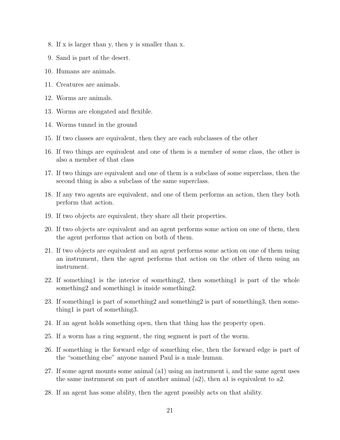- 8. If x is larger than y, then y is smaller than x.
- 9. Sand is part of the desert.
- 10. Humans are animals.
- 11. Creatures are animals.
- 12. Worms are animals.
- 13. Worms are elongated and flexible.
- 14. Worms tunnel in the ground
- 15. If two classes are equivalent, then they are each subclasses of the other
- 16. If two things are equivalent and one of them is a member of some class, the other is also a member of that class
- 17. If two things are equivalent and one of them is a subclass of some superclass, then the second thing is also a subclass of the same superclass.
- 18. If any two agents are equivalent, and one of them performs an action, then they both perform that action.
- 19. If two objects are equivalent, they share all their properties.
- 20. If two objects are equivalent and an agent performs some action on one of them, then the agent performs that action on both of them.
- 21. If two objects are equivalent and an agent performs some action on one of them using an instrument, then the agent performs that action on the other of them using an instrument.
- 22. If something1 is the interior of something2, then something1 is part of the whole something and something is inside something 2.
- 23. If something1 is part of something2 and something2 is part of something3, then something1 is part of something3.
- 24. If an agent holds something open, then that thing has the property open.
- 25. If a worm has a ring segment, the ring segment is part of the worm.
- 26. If something is the forward edge of something else, then the forward edge is part of the "something else" anyone named Paul is a male human.
- 27. If some agent mounts some animal (a1) using an instrument i, and the same agent uses the same instrument on part of another animal (a2), then a1 is equivalent to a2.
- 28. If an agent has some ability, then the agent possibly acts on that ability.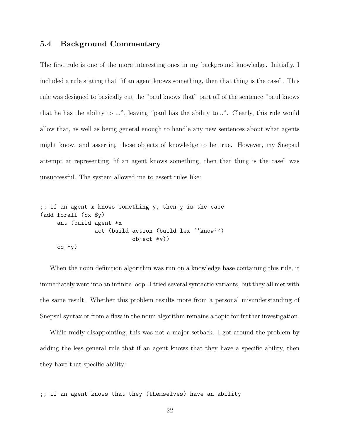### 5.4 Background Commentary

The first rule is one of the more interesting ones in my background knowledge. Initially, I included a rule stating that "if an agent knows something, then that thing is the case". This rule was designed to basically cut the "paul knows that" part off of the sentence "paul knows that he has the ability to ...", leaving "paul has the ability to...". Clearly, this rule would allow that, as well as being general enough to handle any new sentences about what agents might know, and asserting those objects of knowledge to be true. However, my Snepsul attempt at representing "if an agent knows something, then that thing is the case" was unsuccessful. The system allowed me to assert rules like:

```
;; if an agent x knows something y, then y is the case
(add forall ($x $y)
    ant (build agent *x
                act (build action (build lex ''know'')
                           object *y))
    cq *y)
```
When the noun definition algorithm was run on a knowledge base containing this rule, it immediately went into an infinite loop. I tried several syntactic variants, but they all met with the same result. Whether this problem results more from a personal misunderstanding of Snepsul syntax or from a flaw in the noun algorithm remains a topic for further investigation.

While midly disappointing, this was not a major setback. I got around the problem by adding the less general rule that if an agent knows that they have a specific ability, then they have that specific ability:

;; if an agent knows that they (themselves) have an ability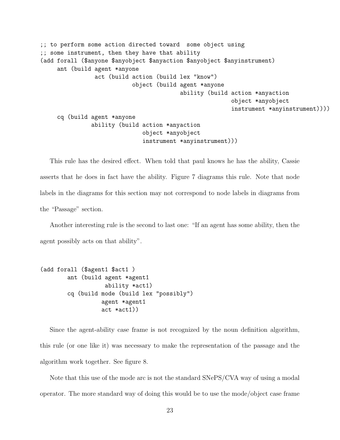```
;; to perform some action directed toward some object using
;; some instrument, then they have that ability
(add forall ($anyone $anyobject $anyaction $anyobject $anyinstrument)
    ant (build agent *anyone
                act (build action (build lex "know")
                           object (build agent *anyone
                                         ability (build action *anyaction
                                                         object *anyobject
                                                         instrument *anyinstrument))))
    cq (build agent *anyone
               ability (build action *anyaction
                              object *anyobject
                              instrument *anyinstrument)))
```
This rule has the desired effect. When told that paul knows he has the ability, Cassie asserts that he does in fact have the ability. Figure 7 diagrams this rule. Note that node labels in the diagrams for this section may not correspond to node labels in diagrams from the "Passage" section.

Another interesting rule is the second to last one: "If an agent has some ability, then the agent possibly acts on that ability".

```
(add forall ($agent1 $act1 )
       ant (build agent *agent1
                   ability *act1)
       cq (build mode (build lex "possibly")
                  agent *agent1
                  act *act1))
```
Since the agent-ability case frame is not recognized by the noun definition algorithm, this rule (or one like it) was necessary to make the representation of the passage and the algorithm work together. See figure 8.

Note that this use of the mode arc is not the standard SNePS/CVA way of using a modal operator. The more standard way of doing this would be to use the mode/object case frame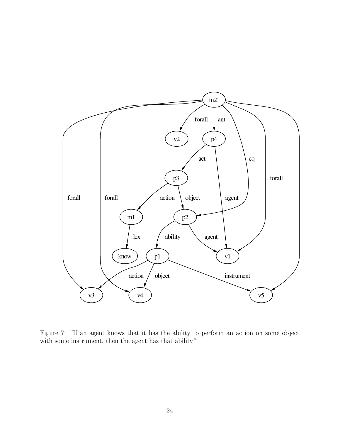

Figure 7: "If an agent knows that it has the ability to perform an action on some object with some instrument, then the agent has that ability"

 $\hat{\mathcal{L}}$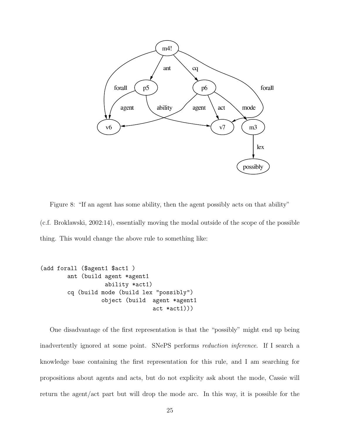

Figure 8: "If an agent has some ability, then the agent possibly acts on that ability" (c.f. Broklawski, 2002:14), essentially moving the modal outside of the scope of the possible thing. This would change the above rule to something like:

```
(add forall ($agent1 $act1 )
       ant (build agent *agent1
                   ability *act1)
       cq (build mode (build lex "possibly")
                  object (build agent *agent1
                                 act *act1)))
```
One disadvantage of the first representation is that the "possibly" might end up being inadvertently ignored at some point. SNePS performs reduction inference. If I search a knowledge base containing the first representation for this rule, and I am searching for propositions about agents and acts, but do not explicity ask about the mode, Cassie will return the agent/act part but will drop the mode arc. In this way, it is possible for the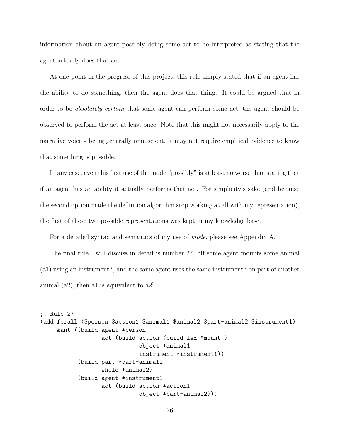information about an agent possibly doing some act to be interpreted as stating that the agent actually does that act.

At one point in the progress of this project, this rule simply stated that if an agent has the ability to do something, then the agent does that thing. It could be argued that in order to be absolutely certain that some agent can perform some act, the agent should be observed to perform the act at least once. Note that this might not necessarily apply to the narrative voice - being generally omniscient, it may not require empirical evidence to know that something is possible.

In any case, even this first use of the mode "possibly" is at least no worse than stating that if an agent has an ability it actually performs that act. For simplicity's sake (and because the second option made the definition algorithm stop working at all with my representation), the first of these two possible representations was kept in my knowledge base.

For a detailed syntax and semantics of my use of mode, please see Appendix A.

The final rule I will discuss in detail is number 27, "If some agent mounts some animal (a1) using an instrument i, and the same agent uses the same instrument i on part of another animal  $(a2)$ , then all is equivalent to  $a2$ ".

```
;; Rule 27
(add forall ($person $action1 $animal1 $animal2 $part-animal2 $instrument1)
    &ant ((build agent *person
                  act (build action (build lex "mount")
                             object *animal1
                             instrument *instrument1))
           (build part *part-animal2
                  whole *animal2)
           (build agent *instrument1
                  act (build action *action1
                             object *part-animal2)))
```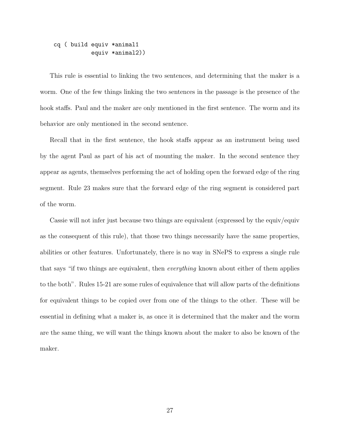#### cq ( build equiv \*animal1 equiv \*animal2))

This rule is essential to linking the two sentences, and determining that the maker is a worm. One of the few things linking the two sentences in the passage is the presence of the hook staffs. Paul and the maker are only mentioned in the first sentence. The worm and its behavior are only mentioned in the second sentence.

Recall that in the first sentence, the hook staffs appear as an instrument being used by the agent Paul as part of his act of mounting the maker. In the second sentence they appear as agents, themselves performing the act of holding open the forward edge of the ring segment. Rule 23 makes sure that the forward edge of the ring segment is considered part of the worm.

Cassie will not infer just because two things are equivalent (expressed by the equiv/equiv as the consequent of this rule), that those two things necessarily have the same properties, abilities or other features. Unfortunately, there is no way in SNePS to express a single rule that says "if two things are equivalent, then everything known about either of them applies to the both". Rules 15-21 are some rules of equivalence that will allow parts of the definitions for equivalent things to be copied over from one of the things to the other. These will be essential in defining what a maker is, as once it is determined that the maker and the worm are the same thing, we will want the things known about the maker to also be known of the maker.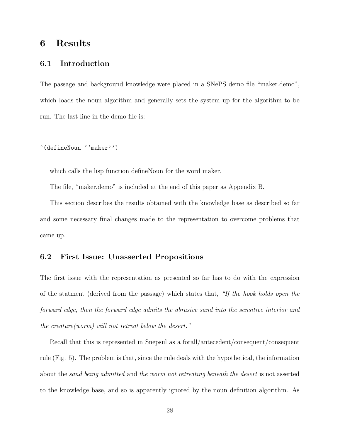# 6 Results

### 6.1 Introduction

The passage and background knowledge were placed in a SNePS demo file "maker.demo", which loads the noun algorithm and generally sets the system up for the algorithm to be run. The last line in the demo file is:

^(defineNoun ''maker'')

which calls the lisp function defineNoun for the word maker.

The file, "maker.demo" is included at the end of this paper as Appendix B.

This section describes the results obtained with the knowledge base as described so far and some necessary final changes made to the representation to overcome problems that came up.

### 6.2 First Issue: Unasserted Propositions

The first issue with the representation as presented so far has to do with the expression of the statment (derived from the passage) which states that, "If the hook holds open the forward edge, then the forward edge admits the abrasive sand into the sensitive interior and the creature(worm) will not retreat below the desert."

Recall that this is represented in Snepsul as a forall/antecedent/consequent/consequent rule (Fig. 5). The problem is that, since the rule deals with the hypothetical, the information about the sand being admitted and the worm not retreating beneath the desert is not asserted to the knowledge base, and so is apparently ignored by the noun definition algorithm. As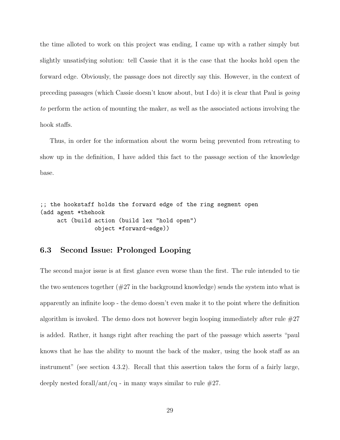the time alloted to work on this project was ending, I came up with a rather simply but slightly unsatisfying solution: tell Cassie that it is the case that the hooks hold open the forward edge. Obviously, the passage does not directly say this. However, in the context of preceding passages (which Cassie doesn't know about, but I do) it is clear that Paul is going to perform the action of mounting the maker, as well as the associated actions involving the hook staffs.

Thus, in order for the information about the worm being prevented from retreating to show up in the definition, I have added this fact to the passage section of the knowledge base.

;; the hookstaff holds the forward edge of the ring segment open (add agent \*thehook act (build action (build lex "hold open") object \*forward-edge))

### 6.3 Second Issue: Prolonged Looping

The second major issue is at first glance even worse than the first. The rule intended to tie the two sentences together  $(\#27 \text{ in the background knowledge})$  sends the system into what is apparently an infinite loop - the demo doesn't even make it to the point where the definition algorithm is invoked. The demo does not however begin looping immediately after rule  $#27$ is added. Rather, it hangs right after reaching the part of the passage which asserts "paul knows that he has the ability to mount the back of the maker, using the hook staff as an instrument" (see section 4.3.2). Recall that this assertion takes the form of a fairly large, deeply nested forall/ant/cq - in many ways similar to rule  $#27$ .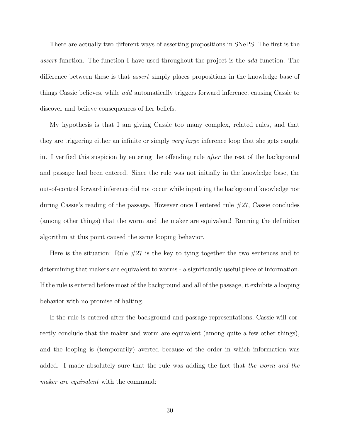There are actually two different ways of asserting propositions in SNePS. The first is the assert function. The function I have used throughout the project is the add function. The difference between these is that assert simply places propositions in the knowledge base of things Cassie believes, while add automatically triggers forward inference, causing Cassie to discover and believe consequences of her beliefs.

My hypothesis is that I am giving Cassie too many complex, related rules, and that they are triggering either an infinite or simply very large inference loop that she gets caught in. I verified this suspicion by entering the offending rule after the rest of the background and passage had been entered. Since the rule was not initially in the knowledge base, the out-of-control forward inference did not occur while inputting the background knowledge nor during Cassie's reading of the passage. However once I entered rule #27, Cassie concludes (among other things) that the worm and the maker are equivalent! Running the definition algorithm at this point caused the same looping behavior.

Here is the situation: Rule #27 is the key to tying together the two sentences and to determining that makers are equivalent to worms - a significantly useful piece of information. If the rule is entered before most of the background and all of the passage, it exhibits a looping behavior with no promise of halting.

If the rule is entered after the background and passage representations, Cassie will correctly conclude that the maker and worm are equivalent (among quite a few other things), and the looping is (temporarily) averted because of the order in which information was added. I made absolutely sure that the rule was adding the fact that the worm and the maker are equivalent with the command: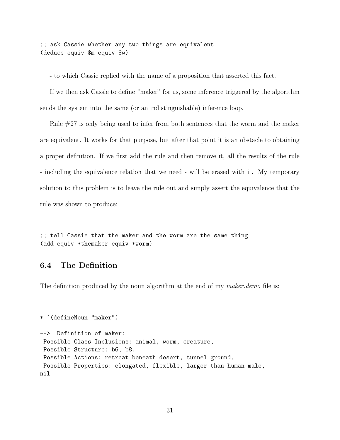;; ask Cassie whether any two things are equivalent (deduce equiv \$m equiv \$w)

- to which Cassie replied with the name of a proposition that asserted this fact.

If we then ask Cassie to define "maker" for us, some inference triggered by the algorithm sends the system into the same (or an indistinguishable) inference loop.

Rule #27 is only being used to infer from both sentences that the worm and the maker are equivalent. It works for that purpose, but after that point it is an obstacle to obtaining a proper definition. If we first add the rule and then remove it, all the results of the rule - including the equivalence relation that we need - will be erased with it. My temporary solution to this problem is to leave the rule out and simply assert the equivalence that the rule was shown to produce:

;; tell Cassie that the maker and the worm are the same thing (add equiv \*themaker equiv \*worm)

### 6.4 The Definition

The definition produced by the noun algorithm at the end of my maker.demo file is:

```
* ^(defineNoun "maker")
--> Definition of maker:
Possible Class Inclusions: animal, worm, creature,
Possible Structure: b6, b8,
Possible Actions: retreat beneath desert, tunnel ground,
Possible Properties: elongated, flexible, larger than human male,
nil
```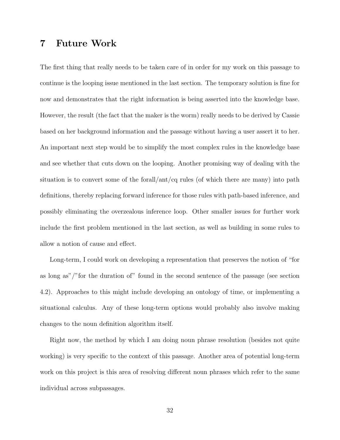# 7 Future Work

The first thing that really needs to be taken care of in order for my work on this passage to continue is the looping issue mentioned in the last section. The temporary solution is fine for now and demonstrates that the right information is being asserted into the knowledge base. However, the result (the fact that the maker is the worm) really needs to be derived by Cassie based on her background information and the passage without having a user assert it to her. An important next step would be to simplify the most complex rules in the knowledge base and see whether that cuts down on the looping. Another promising way of dealing with the situation is to convert some of the forall/ant/cq rules (of which there are many) into path definitions, thereby replacing forward inference for those rules with path-based inference, and possibly eliminating the overzealous inference loop. Other smaller issues for further work include the first problem mentioned in the last section, as well as building in some rules to allow a notion of cause and effect.

Long-term, I could work on developing a representation that preserves the notion of "for as long as"/"for the duration of" found in the second sentence of the passage (see section 4.2). Approaches to this might include developing an ontology of time, or implementing a situational calculus. Any of these long-term options would probably also involve making changes to the noun definition algorithm itself.

Right now, the method by which I am doing noun phrase resolution (besides not quite working) is very specific to the context of this passage. Another area of potential long-term work on this project is this area of resolving different noun phrases which refer to the same individual across subpassages.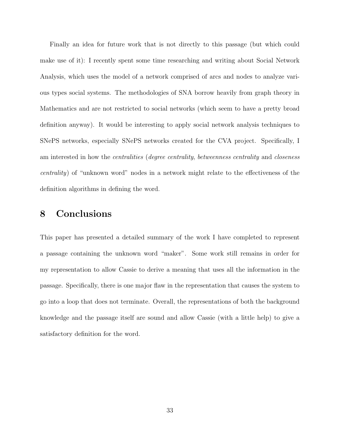Finally an idea for future work that is not directly to this passage (but which could make use of it): I recently spent some time researching and writing about Social Network Analysis, which uses the model of a network comprised of arcs and nodes to analyze various types social systems. The methodologies of SNA borrow heavily from graph theory in Mathematics and are not restricted to social networks (which seem to have a pretty broad definition anyway). It would be interesting to apply social network analysis techniques to SNePS networks, especially SNePS networks created for the CVA project. Specifically, I am interested in how the centralities (degree centrality, betweenness centrality and closeness centrality) of "unknown word" nodes in a network might relate to the effectiveness of the definition algorithms in defining the word.

# 8 Conclusions

This paper has presented a detailed summary of the work I have completed to represent a passage containing the unknown word "maker". Some work still remains in order for my representation to allow Cassie to derive a meaning that uses all the information in the passage. Specifically, there is one major flaw in the representation that causes the system to go into a loop that does not terminate. Overall, the representations of both the background knowledge and the passage itself are sound and allow Cassie (with a little help) to give a satisfactory definition for the word.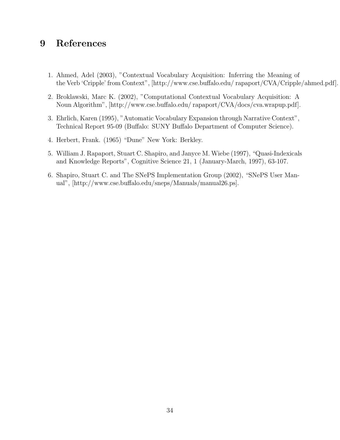# 9 References

- 1. Ahmed, Adel (2003), "Contextual Vocabulary Acquisition: Inferring the Meaning of the Verb 'Cripple' from Context", [http://www.cse.buffalo.edu/ rapaport/CVA/Cripple/ahmed.pdf].
- 2. Broklawski, Marc K. (2002), "Computational Contextual Vocabulary Acquisition: A Noun Algorithm", [http://www.cse.buffalo.edu/ rapaport/CVA/docs/cva.wrapup.pdf].
- 3. Ehrlich, Karen (1995), "Automatic Vocabulary Expansion through Narrative Context", Technical Report 95-09 (Buffalo: SUNY Buffalo Department of Computer Science).
- 4. Herbert, Frank. (1965) "Dune" New York: Berkley.
- 5. William J. Rapaport, Stuart C. Shapiro, and Janyce M. Wiebe (1997), "Quasi-Indexicals and Knowledge Reports", Cognitive Science 21, 1 (January-March, 1997), 63-107.
- 6. Shapiro, Stuart C. and The SNePS Implementation Group (2002), "SNePS User Manual", [http://www.cse.buffalo.edu/sneps/Manuals/manual26.ps].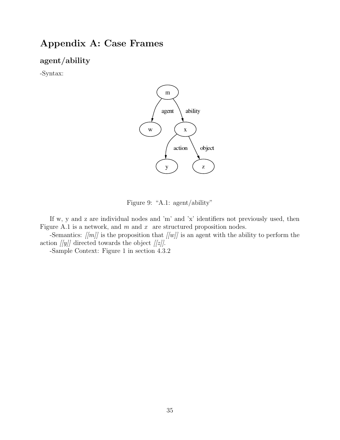# Appendix A: Case Frames

### agent/ability

-Syntax:



Figure 9: "A.1: agent/ability"

If w, y and z are individual nodes and 'm' and 'x' identifiers not previously used, then Figure A.1 is a network, and  $m$  and  $x$  are structured proposition nodes.

-Semantics:  $\langle |m| \rangle$  is the proposition that  $\langle |m| \rangle$  is an agent with the ability to perform the action  $[[y]]$  directed towards the object  $[[z]].$ 

-Sample Context: Figure 1 in section 4.3.2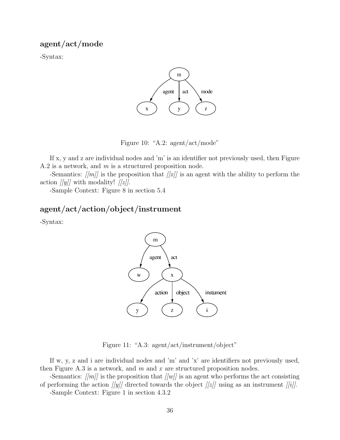agent/act/mode

-Syntax:



Figure 10: "A.2: agent/act/mode"

If x, y and z are individual nodes and 'm' is an identifier not previously used, then Figure A.2 is a network, and m is a structured proposition node.

-Semantics:  $\langle |m| \rangle$  is the proposition that  $\langle |x| \rangle$  is an agent with the ability to perform the action  $[|y|]$  with modality!  $[|z|]$ .

-Sample Context: Figure 8 in section 5.4

## agent/act/action/object/instrument

-Syntax:



Figure 11: "A.3: agent/act/instrument/object"

If w, y, z and i are individual nodes and 'm' and 'x' are identifiers not previously used, then Figure A.3 is a network, and  $m$  and  $x$  are structured proposition nodes.

-Semantics:  $\langle |m| \rangle$  is the proposition that  $\langle |m| \rangle$  is an agent who performs the act consisting of performing the action  $[[y]]$  directed towards the object  $[[z]]$  using as an instrument  $[[i]]$ . -Sample Context: Figure 1 in section 4.3.2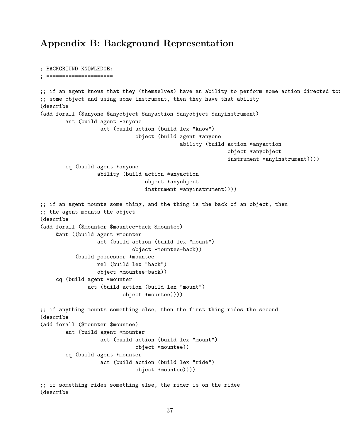# Appendix B: Background Representation

```
; BACKGROUND KNOWLEDGE:
; =====================
;; if an agent knows that they (themselves) have an ability to perform some action directed to
;; some object and using some instrument, then they have that ability
(describe
(add forall ($anyone $anyobject $anyaction $anyobject $anyinstrument)
        ant (build agent *anyone
                   act (build action (build lex "know")
                              object (build agent *anyone
                                            ability (build action *anyaction
                                                            object *anyobject
                                                            instrument *anyinstrument))))
        cq (build agent *anyone
                  ability (build action *anyaction
                                 object *anyobject
                                 instrument *anyinstrument))))
;; if an agent mounts some thing, and the thing is the back of an object, then
;; the agent mounts the object
(describe
(add forall ($mounter $mountee-back $mountee)
    &ant ((build agent *mounter
                  act (build action (build lex "mount")
                             object *mountee-back))
           (build possessor *mountee
                  rel (build lex "back")
                  object *mountee-back))
    cq (build agent *mounter
               act (build action (build lex "mount")
                          object *mountee))))
;; if anything mounts something else, then the first thing rides the second
(describe
(add forall ($mounter $mountee)
        ant (build agent *mounter
                   act (build action (build lex "mount")
                              object *mountee))
        cq (build agent *mounter
                   act (build action (build lex "ride")
                              object *mountee))))
;; if something rides something else, the rider is on the ridee
(describe
```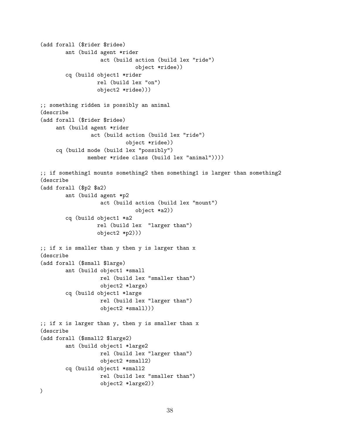```
(add forall ($rider $ridee)
        ant (build agent *rider
                   act (build action (build lex "ride")
                              object *ridee))
        cq (build object1 *rider
                  rel (build lex "on")
                  object2 *ridee)))
;; something ridden is possibly an animal
(describe
(add forall ($rider $ridee)
     ant (build agent *rider
                act (build action (build lex "ride")
                           object *ridee))
     cq (build mode (build lex "possibly")
               member *ridee class (build lex "animal"))))
;; if something1 mounts something2 then something1 is larger than something2
(describe
(add forall ($p2 $a2)
        ant (build agent *p2
                   act (build action (build lex "mount")
                              object *a2))
        cq (build object1 *a2
                  rel (build lex "larger than")
                  object2 *p2)))
;; if x is smaller than y then y is larger than x
(describe
(add forall ($small $large)
        ant (build object1 *small
                   rel (build lex "smaller than")
                   object2 *large)
        cq (build object1 *large
                   rel (build lex "larger than")
                   object2 *small)))
;; if x is larger than y, then y is smaller than x
(describe
(add forall ($small2 $large2)
        ant (build object1 *large2
                   rel (build lex "larger than")
                   object2 *small2)
        cq (build object1 *small2
                   rel (build lex "smaller than")
                   object2 *large2))
)
```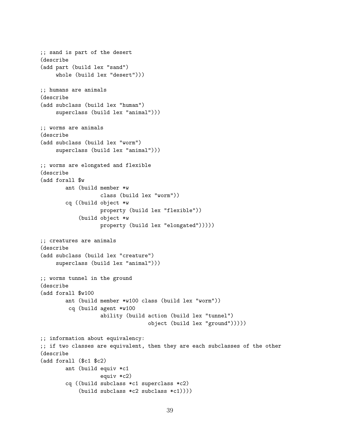```
;; sand is part of the desert
(describe
(add part (build lex "sand")
    whole (build lex "desert")))
;; humans are animals
(describe
(add subclass (build lex "human")
     superclass (build lex "animal")))
;; worms are animals
(describe
(add subclass (build lex "worm")
    superclass (build lex "animal")))
;; worms are elongated and flexible
(describe
(add forall $w
        ant (build member *w
                   class (build lex "worm"))
        cq ((build object *w
                   property (build lex "flexible"))
            (build object *w
                   property (build lex "elongated")))))
;; creatures are animals
(describe
(add subclass (build lex "creature")
    superclass (build lex "animal")))
;; worms tunnel in the ground
(describe
(add forall $w100
        ant (build member *w100 class (build lex "worm"))
         cq (build agent *w100
                   ability (build action (build lex "tunnel")
                                  object (build lex "ground")))))
;; information about equivalency:
;; if two classes are equivalent, then they are each subclasses of the other
(describe
(add forall ($c1 $c2)
        ant (build equiv *c1
                   equiv *c2)
        cq ((build subclass *c1 superclass *c2)
            (build subclass *c2 subclass *c1))))
```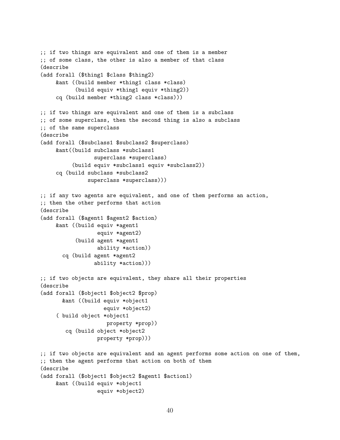```
;; if two things are equivalent and one of them is a member
;; of some class, the other is also a member of that class
(describe
(add forall ($thing1 $class $thing2)
    &ant ((build member *thing1 class *class)
           (build equiv *thing1 equiv *thing2))
    cq (build member *thing2 class *class)))
;; if two things are equivalent and one of them is a subclass
;; of some superclass, then the second thing is also a subclass
;; of the same superclass
(describe
(add forall ($subclass1 $subclass2 $superclass)
    &ant((build subclass *subclass1
                 superclass *superclass)
          (build equiv *subclass1 equiv *subclass2))
     cq (build subclass *subclass2
               superclass *superclass)))
;; if any two agents are equivalent, and one of them performs an action,
;; then the other performs that action
(describe
(add forall ($agent1 $agent2 $action)
    &ant ((build equiv *agent1
                  equiv *agent2)
           (build agent *agent1
                  ability *action))
       cq (build agent *agent2
                 ability *action)))
;; if two objects are equivalent, they share all their properties
(describe
(add forall ($object1 $object2 $prop)
       &ant ((build equiv *object1
                    equiv *object2)
     ( build object *object1
                     property *prop))
        cq (build object *object2
                  property *prop)))
;; if two objects are equivalent and an agent performs some action on one of them,
;; then the agent performs that action on both of them
(describe
(add forall ($object1 $object2 $agent1 $action1)
    &ant ((build equiv *object1
                  equiv *object2)
```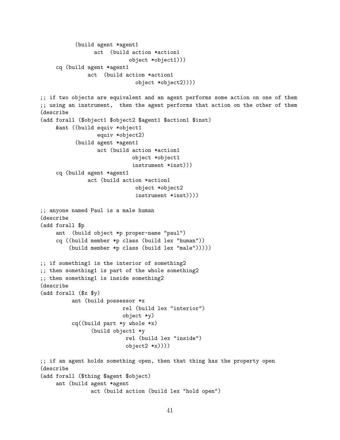```
(build agent *agent1
                 act (build action *action1
                            object *object1)))
    cq (build agent *agent1
               act (build action *action1
                              object *object2))))
;; if two objects are equivalent and an agent performs some action on one of them
;; using an instrument, then the agent performs that action on the other of them
(describe
(add forall ($object1 $object2 $agent1 $action1 $inst)
    &ant ((build equiv *object1
                  equiv *object2)
           (build agent *agent1
                  act (build action *action1
                             object *object1
                             instrument *inst)))
    cq (build agent *agent1
               act (build action *action1
                              object *object2
                              instrument *inst))))
;; anyone named Paul is a male human
(describe
(add forall $p
    ant (build object *p proper-name "paul")
    cq ((build member *p class (build lex "human"))
         (build member *p class (build lex "male")))))
;; if something1 is the interior of something2
;; then something1 is part of the whole something2
;; then something1 is inside something2
(describe
(add forall ($x $y)
          ant (build possessor *x
                          rel (build lex "interior")
                          object *y)
          cq((build part *y whole *x)
                (build object1 *y
                           rel (build lex "inside")
                           object2 *x))))
;; if an agent holds something open, then that thing has the property open
(describe
(add forall ($thing $agent $object)
    ant (build agent *agent
                act (build action (build lex "hold open")
```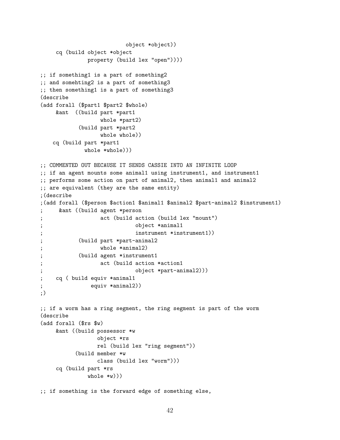```
object *object))
    cq (build object *object
             property (build lex "open"))))
;; if something1 is a part of something2
;; and somehting2 is a part of something3
;; then something1 is a part of something3
(describe
(add forall ($part1 $part2 $whole)
    &ant ((build part *part1
                 whole *part2)
           (build part *part2
                 whole whole))
   cq (build part *part1
            whole *whole)))
;; COMMENTED OUT BECAUSE IT SENDS CASSIE INTO AN INFINITE LOOP
;; if an agent mounts some animal1 using instrument1, and instrument1
;; performs some action on part of animal2, then animal1 and animal2
;; are equivalent (they are the same entity)
;(describe
;(add forall ($person $action1 $animal1 $animal2 $part-animal2 $instrument1)
; &ant ((build agent *person
; act (build action (build lex "mount")
; object *animal1
; instrument *instrument1))
; (build part *part-animal2
                 whole *animal2)
; (build agent *instrument1
; act (build action *action1
; object *part-animal2)))
; cq ( build equiv *animal1
; equiv *animal2))
;)
;; if a worm has a ring segment, the ring segment is part of the worm
(describe
(add forall ($rs $w)
    &ant ((build possessor *w
                object *rs
                rel (build lex "ring segment"))
          (build member *w
                class (build lex "worm")))
    cq (build part *rs
             whole *w)))
```
;; if something is the forward edge of something else,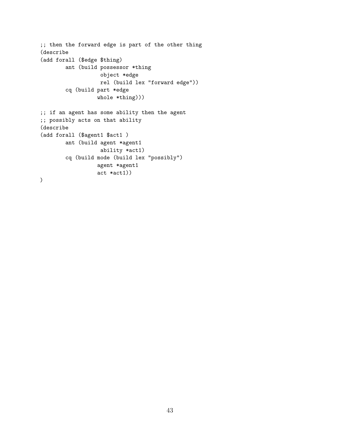```
;; then the forward edge is part of the other thing
(describe
(add forall ($edge $thing)
        ant (build possessor *thing
                   object *edge
                   rel (build lex "forward edge"))
        cq (build part *edge
                  whole *thing)))
;; if an agent has some ability then the agent
;; possibly acts on that ability
(describe
(add forall ($agent1 $act1 )
        ant (build agent *agent1
                   ability *act1)
        cq (build mode (build lex "possibly")
                  agent *agent1
                  act *act1))
)
```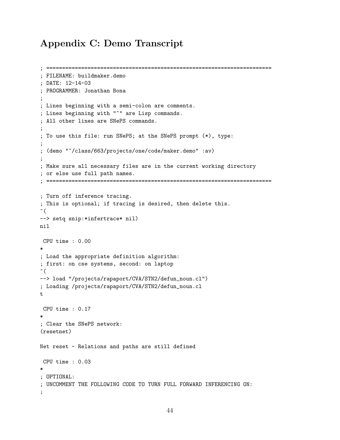# Appendix C: Demo Transcript

```
; =======================================================================
; FILENAME: buildmaker.demo
; DATE: 12-14-03
; PROGRAMMER: Jonathan Bona
;
; Lines beginning with a semi-colon are comments.
; Lines beginning with "^" are Lisp commands.
; All other lines are SNePS commands.
;
; To use this file: run SNePS; at the SNePS prompt (*), type:
;
; (demo "~/class/663/projects/one/code/maker.demo" :av)
;
; Make sure all necessary files are in the current working directory
; or else use full path names.
; =======================================================================
; Turn off inference tracing.
; This is optional; if tracing is desired, then delete this.
\hat{\mathcal{L}}--> setq snip:*infertrace* nil)
nil
CPU time : 0.00
*
; Load the appropriate definition algorithm:
; first: on cse systems, second: on laptop
\hat{\mathcal{L}}--> load "/projects/rapaport/CVA/STN2/defun_noun.cl")
; Loading /projects/rapaport/CVA/STN2/defun_noun.cl
t
CPU time : 0.17
*
; Clear the SNePS network:
(resetnet)
Net reset - Relations and paths are still defined
CPU time : 0.03
*
; OPTIONAL:
; UNCOMMENT THE FOLLOWING CODE TO TURN FULL FORWARD INFERENCING ON:
;
```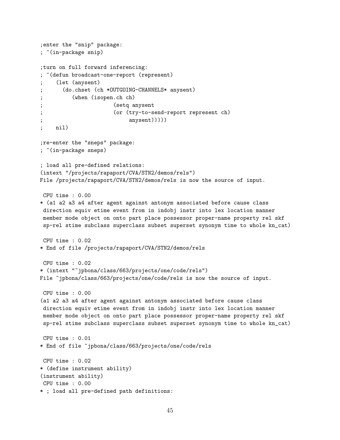```
;enter the "snip" package:
; ^(in-package snip)
;turn on full forward inferencing:
; ^(defun broadcast-one-report (represent)
     (let (anysent)
      (do.chset (ch *OUTGOING-CHANNELS* anysent)
          (when (isopen.ch ch)
; (setq anysent
                      (or (try-to-send-report represent ch)
; anysent)))))
    nil)
;re-enter the "sneps" package:
; ^(in-package sneps)
; load all pre-defined relations:
(intext "/projects/rapaport/CVA/STN2/demos/rels")
File /projects/rapaport/CVA/STN2/demos/rels is now the source of input.
CPU time : 0.00
* (a1 a2 a3 a4 after agent against antonym associated before cause class
direction equiv etime event from in indobj instr into lex location manner
member mode object on onto part place possessor proper-name property rel skf
 sp-rel stime subclass superclass subset superset synonym time to whole kn_cat)
CPU time : 0.02
* End of file /projects/rapaport/CVA/STN2/demos/rels
CPU time : 0.02
* (intext "~jpbona/class/663/projects/one/code/rels")
File "jpbona/class/663/projects/one/code/rels is now the source of input.
CPU time : 0.00
(a1 a2 a3 a4 after agent against antonym associated before cause class
direction equiv etime event from in indobj instr into lex location manner
member mode object on onto part place possessor proper-name property rel skf
 sp-rel stime subclass superclass subset superset synonym time to whole kn_cat)
CPU time : 0.01
* End of file ~jpbona/class/663/projects/one/code/rels
CPU time : 0.02
* (define instrument ability)
(instrument ability)
CPU time : 0.00
* ; load all pre-defined path definitions:
```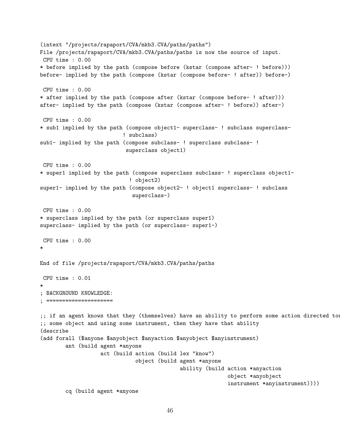```
(intext "/projects/rapaport/CVA/mkb3.CVA/paths/paths")
File /projects/rapaport/CVA/mkb3.CVA/paths/paths is now the source of input.
CPU time : 0.00
* before implied by the path (compose before (kstar (compose after- ! before)))
before- implied by the path (compose (kstar (compose before- ! after)) before-)
CPU time : 0.00
* after implied by the path (compose after (kstar (compose before- ! after)))
after- implied by the path (compose (kstar (compose after- ! before)) after-)
CPU time : 0.00
* sub1 implied by the path (compose object1- superclass- ! subclass superclass-
                          ! subclass)
sub1- implied by the path (compose subclass- ! superclass subclass- !
                           superclass object1)
CPU time : 0.00
* super1 implied by the path (compose superclass subclass- ! superclass object1-
                            ! object2)
super1- implied by the path (compose object2- ! object1 superclass- ! subclass
                             superclass-)
CPU time : 0.00
* superclass implied by the path (or superclass super1)
superclass- implied by the path (or superclass- super1-)
CPU time : 0.00
*
End of file /projects/rapaport/CVA/mkb3.CVA/paths/paths
CPU time : 0.01
*
; BACKGROUND KNOWLEDGE:
; =====================
;; if an agent knows that they (themselves) have an ability to perform some action directed to
;; some object and using some instrument, then they have that ability
(describe
(add forall ($anyone $anyobject $anyaction $anyobject $anyinstrument)
        ant (build agent *anyone
                   act (build action (build lex "know")
                              object (build agent *anyone
                                            ability (build action *anyaction
                                                            object *anyobject
                                                            instrument *anyinstrument))))
        cq (build agent *anyone
```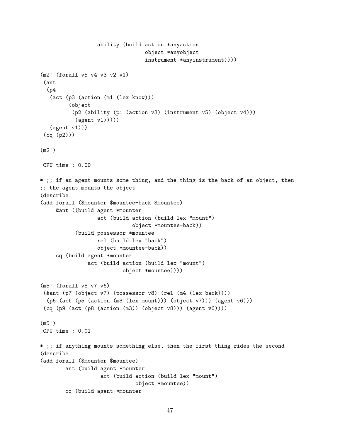```
ability (build action *anyaction
                                  object *anyobject
                                  instrument *anyinstrument))))
(m2! (forall v5 v4 v3 v2 v1)
 (ant
  (p4)(act (p3 (action (m1 (lex know)))
         (object
          (p2 (ability (p1 (action v3) (instrument v5) (object v4)))
           (\text{agent v1})))(agent v1)))
 (cq (p2)))
(m2!)
CPU time : 0.00
* ;; if an agent mounts some thing, and the thing is the back of an object, then
;; the agent mounts the object
(describe
(add forall ($mounter $mountee-back $mountee)
    &ant ((build agent *mounter
                  act (build action (build lex "mount")
                             object *mountee-back))
           (build possessor *mountee
                  rel (build lex "back")
                  object *mountee-back))
     cq (build agent *mounter
               act (build action (build lex "mount")
                          object *mountee))))
(m5! (forall v8 v7 v6)
 (&ant (p7 (object v7) (possessor v8) (rel (m4 (lex back))))
  (p6 (act (p5 (action (m3 (lex mount))) (object v7))) (agent v6)))
 (cq (p9 (act (p8 (action (m3)) (object v8))) (agent v6))))
(m5!)
CPU time : 0.01
* ;; if anything mounts something else, then the first thing rides the second
(describe
(add forall ($mounter $mountee)
        ant (build agent *mounter
                   act (build action (build lex "mount")
                              object *mountee))
        cq (build agent *mounter
```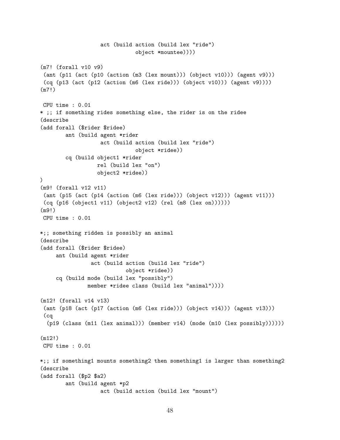```
act (build action (build lex "ride")
                              object *mountee))))
(m7! (forall v10 v9)
 (ant (p11 (act (p10 (action (m3 (lex mount))) (object v10))) (agent v9)))
 (cq (p13 (act (p12 (action (m6 (lex ride))) (object v10))) (agent v9))))
(m7!)
CPU time : 0.01
* ;; if something rides something else, the rider is on the ridee
(describe
(add forall ($rider $ridee)
        ant (build agent *rider
                   act (build action (build lex "ride")
                              object *ridee))
        cq (build object1 *rider
                  rel (build lex "on")
                  object2 *ridee))
)
(m9! (forall v12 v11)
 (ant (p15 (act (p14 (action (m6 (lex ride))) (object v12))) (agent v11)))
 (cq (p16 (object1 v11) (object2 v12) (rel (m8 (lex on))))))
(m9!)
CPU time : 0.01
*;; something ridden is possibly an animal
(describe
(add forall ($rider $ridee)
     ant (build agent *rider
                act (build action (build lex "ride")
                           object *ridee))
     cq (build mode (build lex "possibly")
               member *ridee class (build lex "animal"))))
(m12! (forall v14 v13)
 (ant (p18 (act (p17 (action (m6 (lex ride))) (object v14))) (agent v13)))
 (cq
  (p19 (class (m11 (lex animal))) (member v14) (mode (m10 (lex possibly))))(m12!)
CPU time : 0.01
*;; if something1 mounts something2 then something1 is larger than something2
(describe
(add forall ($p2 $a2)
        ant (build agent *p2
                   act (build action (build lex "mount")
```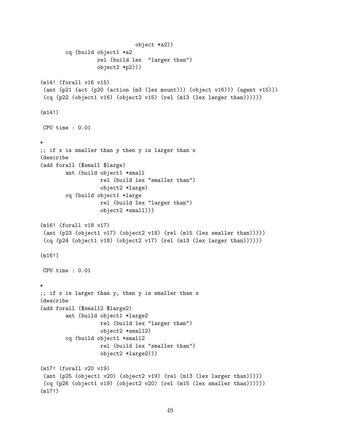```
object *a2))
        cq (build object1 *a2
                  rel (build lex "larger than")
                  object2 *p2)))
(m14! (forall v16 v15)
(ant (p21 (act (p20 (action (m3 (lex mount))) (object v16))) (agent v15)))
(cq (p22 (object1 v16) (object2 v15) (rel (m13 (lex larger than))))))
(m14!)
CPU time : 0.01
*
;; if x is smaller than y then y is larger than x
(describe
(add forall ($small $large)
        ant (build object1 *small
                   rel (build lex "smaller than")
                   object2 *large)
        cq (build object1 *large
                   rel (build lex "larger than")
                   object2 *small)))
(m16! (forall v18 v17)
(ant (p23 (object1 v17) (object2 v18) (rel (m15 (lex smaller than)))))
(cq (p24 (object1 v18) (object2 v17) (rel (m13 (lex larger than))))))
(m16!)
CPU time : 0.01
*
;; if x is larger than y, then y is smaller than x
(describe
(add forall ($small2 $large2)
        ant (build object1 *large2
                   rel (build lex "larger than")
                   object2 *small2)
        cq (build object1 *small2
                   rel (build lex "smaller than")
                   object2 *large2)))
(m17! (forall v20 v19)
(ant (p25 (object1 v20) (object2 v19) (rel (m13 (lex larger than)))))
(cq (p26 (object1 v19) (object2 v20) (rel (m15 (lex smaller than))))))
(m17!)
```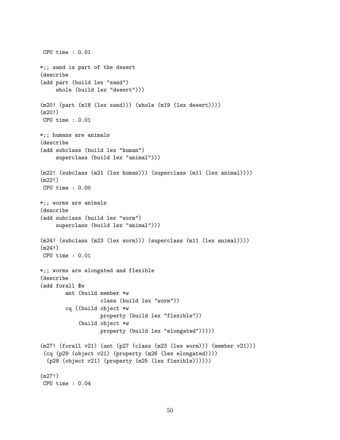```
CPU time : 0.01
*;; sand is part of the desert
(describe
(add part (build lex "sand")
    whole (build lex "desert")))
(m20! (part (m18 (lex sand))) (whole (m19 (lex desert))))
(m20!)
CPU time : 0.01
*;; humans are animals
(describe
(add subclass (build lex "human")
     superclass (build lex "animal")))
(m22! (subclass (m21 (lex human))) (superclass (m11 (lex animal))))
(m22!)
CPU time : 0.00
*;; worms are animals
(describe
(add subclass (build lex "worm")
     superclass (build lex "animal")))
(m24! (subclass (m23 (lex worm))) (superclass (m11 (lex animal))))
(m24!)
CPU time : 0.01
*;; worms are elongated and flexible
(describe
(add forall $w
        ant (build member *w
                   class (build lex "worm"))
        cq ((build object *w
                   property (build lex "flexible"))
            (build object *w
                   property (build lex "elongated")))))
(m27! (forall v21) (ant (p27 (class (m23 (lex worm))) (member v21)))
 (cq (p29 (object v21) (property (m26 (lex elongated))))
  (p28 (object v21) (property (m25 (lex flexible))))))
(m27!)
CPU time : 0.04
```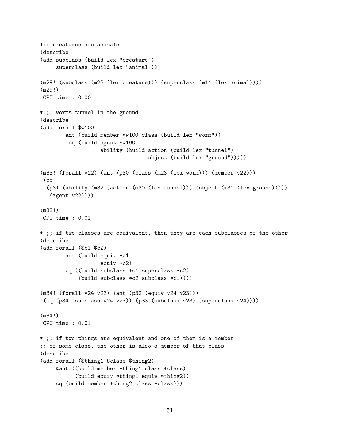```
*;; creatures are animals
(describe
(add subclass (build lex "creature")
     superclass (build lex "animal")))
(m29! (subclass (m28 (lex creature))) (superclass (m11 (lex animal))))
(m29!)
CPU time : 0.00
* ;; worms tunnel in the ground
(describe
(add forall $w100
        ant (build member *w100 class (build lex "worm"))
         cq (build agent *w100
                   ability (build action (build lex "tunnel")
                                  object (build lex "ground")))))
(m33! (forall v22) (ant (p30 (class (m23 (lex worm))) (member v22)))
 (cq
  (p31 (ability (m32 (action (m30 (lex tunnel))) (object (m31 (lex ground)))))
   (agent v22))))
(m33!)
CPU time : 0.01
* ;; if two classes are equivalent, then they are each subclasses of the other
(describe
(add forall ($c1 $c2)
        ant (build equiv *c1
                   equiv *c2)
        cq ((build subclass *c1 superclass *c2)
            (build subclass *c2 subclass *c1))))
(m34! (forall v24 v23) (ant (p32 (equiv v24 v23)))
 (cq (p34 (subclass v24 v23)) (p33 (subclass v23) (superclass v24))))(m34!)
CPU time : 0.01
* ;; if two things are equivalent and one of them is a member
;; of some class, the other is also a member of that class
(describe
(add forall ($thing1 $class $thing2)
    &ant ((build member *thing1 class *class)
           (build equiv *thing1 equiv *thing2))
     cq (build member *thing2 class *class)))
```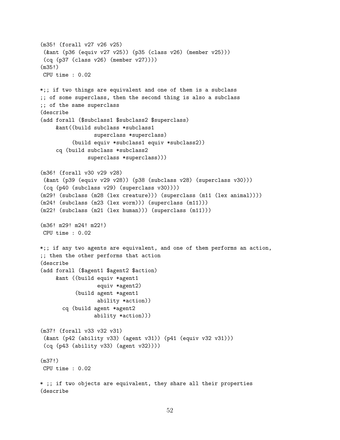```
(m35! (forall v27 v26 v25)
 (&ant (p36 (equiv v27 v25)) (p35 (class v26) (member v25)))
 (cq (p37 (class v26) (member v27))))
(m35!)
CPU time : 0.02
*;; if two things are equivalent and one of them is a subclass
;; of some superclass, then the second thing is also a subclass
;; of the same superclass
(describe
(add forall ($subclass1 $subclass2 $superclass)
     &ant((build subclass *subclass1
                 superclass *superclass)
          (build equiv *subclass1 equiv *subclass2))
     cq (build subclass *subclass2
               superclass *superclass)))
(m36! (forall v30 v29 v28)
 (&ant (p39 (equiv v29 v28)) (p38 (subclass v28) (superclass v30)))
 (cq (p40 (subclass v29) (superclass v30))))
(m29! (subclass (m28 (lex creature))) (superclass (m11 (lex animal))))
(m24! (subclass (m23 (lex worm))) (superclass (m11)))
(m22! (subclass (m21 (lex human))) (superclass (m11)))
(m36! m29! m24! m22!)
CPU time : 0.02
*;; if any two agents are equivalent, and one of them performs an action,
;; then the other performs that action
(describe
(add forall ($agent1 $agent2 $action)
     &ant ((build equiv *agent1
                  equiv *agent2)
           (build agent *agent1
                  ability *action))
       cq (build agent *agent2
                 ability *action)))
(m37! (forall v33 v32 v31)
 (&ant (p42 (ability v33) (agent v31)) (p41 (equiv v32 v31)))
 (cq (p43 (ability v33) (agent v32))))
(m37!)
CPU time : 0.02
* ;; if two objects are equivalent, they share all their properties
(describe
```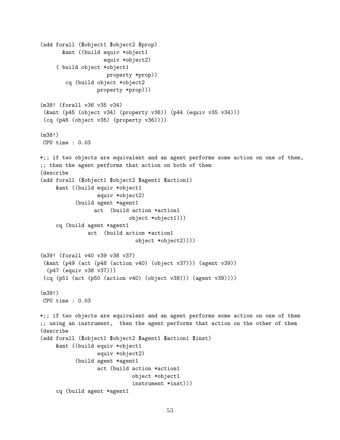```
(add forall ($object1 $object2 $prop)
       &ant ((build equiv *object1
                    equiv *object2)
     ( build object *object1
                     property *prop))
        cq (build object *object2
                  property *prop)))
(m38! (forall v36 v35 v34)
 (&ant (p45 (object v34) (property v36)) (p44 (equiv v35 v34)))
 (cq (p46 (object v35) (property v36))))
(m38!)
CPU time : 0.03
*;; if two objects are equivalent and an agent performs some action on one of them,
;; then the agent performs that action on both of them
(describe
(add forall ($object1 $object2 $agent1 $action1)
     &ant ((build equiv *object1
                  equiv *object2)
           (build agent *agent1
                 act (build action *action1
                            object *object1)))
     cq (build agent *agent1
               act (build action *action1
                              object *object2))))
(m39! (forall v40 v39 v38 v37)
 (&ant (p49 (act (p48 (action v40) (object v37))) (agent v39))
  (p47 (equiv v38 v37)))
 (cq (p51 (act (p50 (action v40) (object v38))) (agent v39))))
(m39!)
CPU time : 0.03
*;; if two objects are equivalent and an agent performs some action on one of them
;; using an instrument, then the agent performs that action on the other of them
(describe
(add forall ($object1 $object2 $agent1 $action1 $inst)
     &ant ((build equiv *object1
                  equiv *object2)
           (build agent *agent1
                  act (build action *action1
                             object *object1
                             instrument *inst)))
     cq (build agent *agent1
```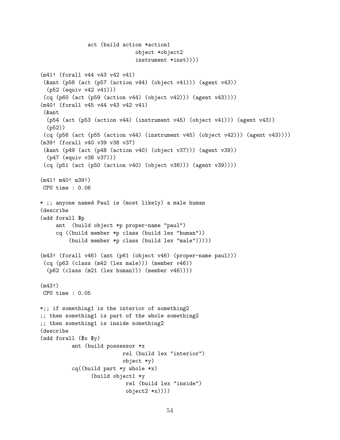```
act (build action *action1
                              object *object2
                              instrument *inst))))
(m41! (forall v44 v43 v42 v41)
 (&ant (p58 (act (p57 (action v44) (object v41))) (agent v43))
  (p52 (equiv v42 v41)))
 (cq (p60 (act (p59 (action v44) (object v42))) (agent v43))))
(m40! (forall v45 v44 v43 v42 v41)
 (&ant
  (p54 (act (p53 (action v44) (instrument v45) (object v41))) (agent v43))
  (p52))
 (cq (p56 (act (p55 (action v44) (instrument v45) (object v42))) (agent v43))))
(m39! (forall v40 v39 v38 v37)
 (&ant (p49 (act (p48 (action v40) (object v37))) (agent v39))
  (p47 (equiv v38 v37)))
 (cq (p51 (act (p50 (action v40) (object v38))) (agent v39))))
(m41! m40! m39!)
CPU time : 0.06
* ;; anyone named Paul is (most likely) a male human
(describe
(add forall $p
     ant (build object *p proper-name "paul")
     cq ((build member *p class (build lex "human"))
         (build member *p class (build lex "male")))))
(m43! (forall v46) (ant (p61 (object v46) (proper-name paul)))
 (cq (p63 (class (m42 (lex male))) (member v46))
  (p62 (class (m21 (lex human))) (member v46))))
(m43!)
CPU time : 0.05
*;; if something1 is the interior of something2
;; then something1 is part of the whole something2
;; then something1 is inside something2
(describe
(add forall ($x $y)
          ant (build possessor *x
                          rel (build lex "interior")
                          object *y)
          cq((build part *y whole *x)
                (build object1 *y
                           rel (build lex "inside")
                           object2 *x))))
```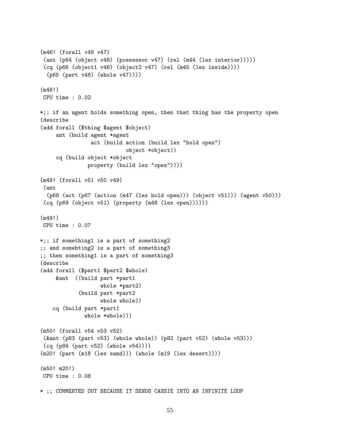```
(m46! (forall v48 v47)
 (ant (p64 (object v48) (possessor v47) (rel (m44 (lex interior)))))
 (cq (p66 (object1 v48) (object2 v47) (rel (m45 (lex inside))))
  (p65 (part v48) (whole v47))))
(m46!)
CPU time : 0.02
*;; if an agent holds something open, then that thing has the property open
(describe
(add forall ($thing $agent $object)
     ant (build agent *agent
                act (build action (build lex "hold open")
                           object *object))
     cq (build object *object
               property (build lex "open"))))
(m49! (forall v51 v50 v49)
 (ant
  (p68 (act (p67 (action (m47 (lex hold open))) (object v51))) (agent v50)))
 (cq (p69 (object v51) (property (m48 (lex open))))))
(m49!)
CPU time : 0.07
*;; if something1 is a part of something2
;; and somehting2 is a part of something3
;; then something1 is a part of something3
(describe
(add forall ($part1 $part2 $whole)
    &ant ((build part *part1
                   whole *part2)
            (build part *part2
                   whole whole))
    cq (build part *part1
              whole *whole)))
(m50! (forall v54 v53 v52)
 (&ant (p83 (part v53) (whole whole)) (p82 (part v52) (whole v53)))
 (cq (p84 (part v52) (whole v54))))
(m20! (part (m18 (lex sand))) (whole (m19 (lex desert))))
(m50! m20!)
CPU time : 0.08
* ;; COMMENTED OUT BECAUSE IT SENDS CASSIE INTO AN INFINITE LOOP
```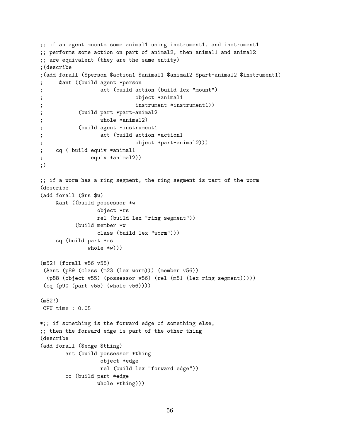```
;; if an agent mounts some animal1 using instrument1, and instrument1
;; performs some action on part of animal2, then animal1 and animal2
;; are equivalent (they are the same entity)
;(describe
;(add forall ($person $action1 $animal1 $animal2 $part-animal2 $instrument1)
     ; &ant ((build agent *person
                 act (build action (build lex "mount")
; object *animal1
; instrument *instrument1))
; (build part *part-animal2
; whole *animal2)
           (build agent *instrument1
; act (build action *action1
                            ; object *part-animal2)))
; cq ( build equiv *animal1
; equiv *animal2))
;)
;; if a worm has a ring segment, the ring segment is part of the worm
(describe
(add forall ($rs $w)
    &ant ((build possessor *w
                object *rs
                rel (build lex "ring segment"))
          (build member *w
                class (build lex "worm")))
    cq (build part *rs
              whole *w))(m52! (forall v56 v55)
(&ant (p89 (class (m23 (lex worm))) (member v56))
 (p88 (object v55) (possessor v56) (rel (m51 (lex ring segment)))))
 (cq (p90 (part v55) (whole v56))))
(m52!)
CPU time : 0.05
*;; if something is the forward edge of something else,
;; then the forward edge is part of the other thing
(describe
(add forall ($edge $thing)
       ant (build possessor *thing
                 object *edge
                 rel (build lex "forward edge"))
       cq (build part *edge
                whole *thing)))
```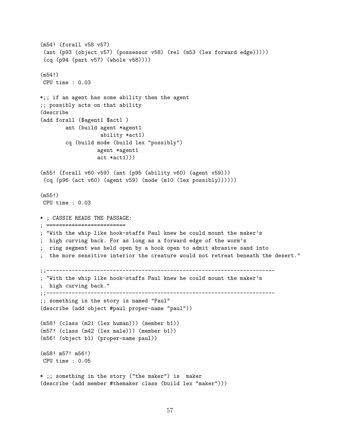```
(m54! (forall v58 v57)
 (ant (p93 (object v57) (possessor v58) (rel (m53 (lex forward edge)))))
 (cq (p94 (part v57) (whole v58))))
(m54!)
CPU time : 0.03
*;; if an agent has some ability then the agent
;; possibly acts on that ability
(describe
(add forall ($agent1 $act1 )
        ant (build agent *agent1
                   ability *act1)
        cq (build mode (build lex "possibly")
                  agent *agent1
                  act *act1)))
(m55! (forall v60 v59) (ant (p95 (ability v60) (agent v59)))
 (cq (p96 (act v60) (agent v59) (mode (m10 (lex possibly))))))
(m55!)
CPU time : 0.03
* ; CASSIE READS THE PASSAGE:
; =========================
; "With the whip like hook-staffs Paul knew he could mount the maker's
; high curving back. For as long as a forward edge of the worm's
; ring segment was held open by a hook open to admit abrasive sand into
 the more sensitive interior the creature would not retreat beneath the desert."
;;------------------------------------------------------------------------
; "With the whip like hook-staffs Paul knew he could mount the maker's
; high curving back."
;;------------------------------------------------------------------------
;; something in the story is named "Paul"
(describe (add object #paul proper-name "paul"))
(m58! (class (m21 (lex human))) (member b1))
(m57! (class (m42 (lex male))) (member b1))
(m56! (object b1) (proper-name paul))
(m58! m57! m56!)
CPU time : 0.05
* ;; something in the story ("the maker") is maker
(describe (add member #themaker class (build lex "maker")))
```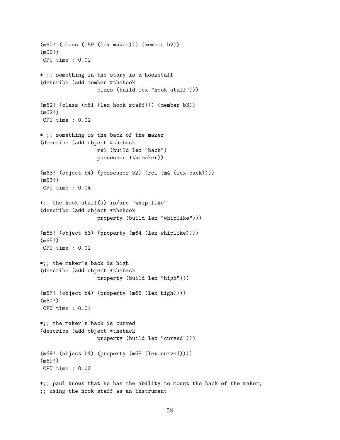```
(m60! (class (m59 (lex maker))) (member b2))
(m60!)
CPU time : 0.02
* ;; something in the story is a hookstaff
(describe (add member #thehook
                  class (build lex "hook staff")))
(m62! (class (m61 (lex hook staff))) (member b3))
(m62!)
CPU time : 0.02
* ;; something is the back of the maker
(describe (add object #theback
                  rel (build lex "back")
                  possessor *themaker))
(m63! (object b4) (possessor b2) (rel (m4 (lex back))))
(m63!)
CPU time : 0.04
*;; the hook staff(s) is/are "whip like"
(describe (add object *thehook
                  property (build lex "whiplike")))
(m65! (object b3) (property (m64 (lex whiplike))))
(m65!)
CPU time : 0.02
*;; the maker's back is high
(describe (add object *theback
                  property (build lex "high")))
(m67! (object b4) (property (m66 (lex high))))
(m67!)
CPU time : 0.01
*;; the maker's back is curved
(describe (add object *theback
                  property (build lex "curved")))
(m69! (object b4) (property (m68 (lex curved))))
(m69!)
CPU time : 0.02
*;; paul knows that he has the ability to mount the back of the maker,
;; using the hook staff as an instrument
```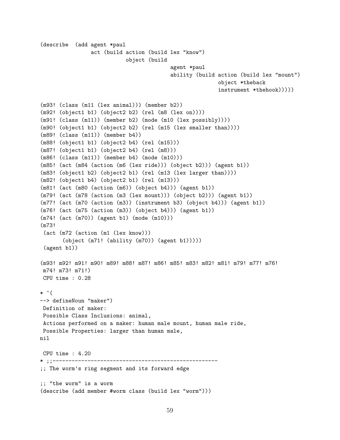(describe (add agent \*paul act (build action (build lex "know") object (build agent \*paul ability (build action (build lex "mount") object \*theback instrument \*thehook))))) (m93! (class (m11 (lex animal))) (member b2)) (m92! (object1 b1) (object2 b2) (rel (m8 (lex on)))) (m91! (class (m11)) (member b2) (mode (m10 (lex possibly)))) (m90! (object1 b1) (object2 b2) (rel (m15 (lex smaller than)))) (m89! (class (m11)) (member b4)) (m88! (object1 b1) (object2 b4) (rel (m15))) (m87! (object1 b1) (object2 b4) (rel (m8))) (m86! (class (m11)) (member b4) (mode (m10))) (m85! (act (m84 (action (m6 (lex ride))) (object b2))) (agent b1)) (m83! (object1 b2) (object2 b1) (rel (m13 (lex larger than)))) (m82! (object1 b4) (object2 b1) (rel (m13))) (m81! (act (m80 (action (m6)) (object b4))) (agent b1)) (m79! (act (m78 (action (m3 (lex mount))) (object b2))) (agent b1)) (m77! (act (m70 (action (m3)) (instrument b3) (object b4))) (agent b1)) (m76! (act (m75 (action (m3)) (object b4))) (agent b1)) (m74! (act (m70)) (agent b1) (mode (m10))) (m73! (act (m72 (action (m1 (lex know))) (object (m71! (ability (m70)) (agent b1))))) (agent b1)) (m93! m92! m91! m90! m89! m88! m87! m86! m85! m83! m82! m81! m79! m77! m76! m74! m73! m71!) CPU time : 0.28  $*$  ^( --> defineNoun "maker") Definition of maker: Possible Class Inclusions: animal, Actions performed on a maker: human male mount, human male ride, Possible Properties: larger than human male, nil CPU time : 4.20 \* ;;---------------------------------------------------- ;; The worm's ring segment and its forward edge ;; "the worm" is a worm (describe (add member #worm class (build lex "worm")))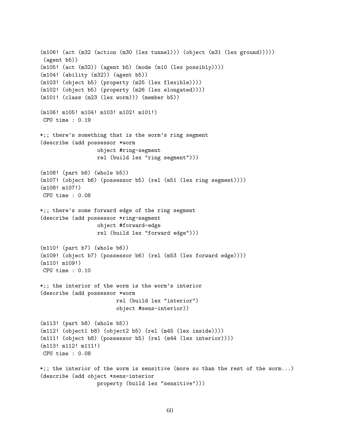```
(m106! (act (m32 (action (m30 (lex tunnel))) (object (m31 (lex ground)))))
 (agent b5))
(m105! (act (m32)) (agent b5) (mode (m10 (lex possibly))))
(m104! (ability (m32)) (agent b5))
(m103! (object b5) (property (m25 (lex flexible))))
(m102! (object b5) (property (m26 (lex elongated))))
(m101! (class (m23 (lex worm))) (member b5))
(m106! m105! m104! m103! m102! m101!)
CPU time : 0.19
*;; there's something that is the worm's ring segment
(describe (add possessor *worm
                  object #ring-segment
                  rel (build lex "ring segment")))
(m108! (part b6) (whole b5))
(m107! (object b6) (possessor b5) (rel (m51 (lex ring segment))))
(m108! m107!)
CPU time : 0.08
*;; there's some forward edge of the ring segment
(describe (add possessor *ring-segment
                  object #forward-edge
                  rel (build lex "forward edge")))
(m110! (part b7) (whole b6))
(m109! (object b7) (possessor b6) (rel (m53 (lex forward edge))))
(m110! m109!)
CPU time : 0.10
*;; the interior of the worm is the worm's interior
(describe (add possessor *worm
                        rel (build lex "interior")
                        object #sens-interior))
(m113! (part b8) (whole b5))
(m112! (object1 b8) (object2 b5) (rel (m45 (lex inside))))
(m111! (object b8) (possessor b5) (rel (m44 (lex interior))))
(m113! m112! m111!)
CPU time : 0.08
*;; the interior of the worm is sensitive (more so than the rest of the worm...)
(describe (add object *sens-interior
                  property (build lex "sensitive")))
```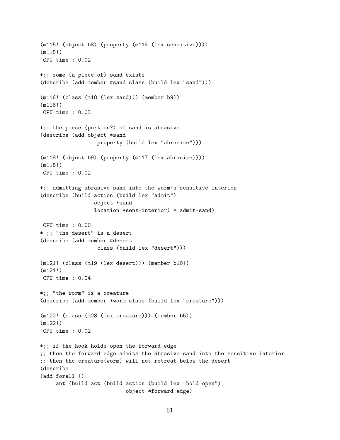(m115! (object b8) (property (m114 (lex sensitive)))) (m115!) CPU time : 0.02 \*;; some (a piece of) sand exists (describe (add member #sand class (build lex "sand"))) (m116! (class (m18 (lex sand))) (member b9)) (m116!) CPU time : 0.03 \*;; the piece (portion?) of sand is abrasive (describe (add object \*sand property (build lex "abrasive"))) (m118! (object b9) (property (m117 (lex abrasive)))) (m118!) CPU time : 0.02 \*;; admitting abrasive sand into the worm's sensitive interior (describe (build action (build lex "admit") object \*sand location \*sens-interior) = admit-sand) CPU time : 0.00 \* ;; "the desert" is a desert (describe (add member #desert class (build lex "desert"))) (m121! (class (m19 (lex desert))) (member b10)) (m121!) CPU time : 0.04 \*;; "the worm" is a creature (describe (add member \*worm class (build lex "creature"))) (m122! (class (m28 (lex creature))) (member b5)) (m122!) CPU time : 0.02 \*;; if the hook holds open the forward edge ;; then the forward edge admits the abrasive sand into the sensitive interior ;; then the creature(worm) will not retreat below the desert (describe (add forall () ant (build act (build action (build lex "hold open") object \*forward-edge)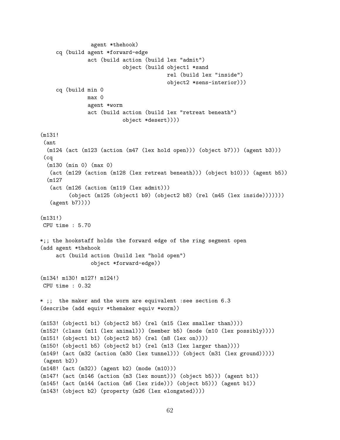```
agent *thehook)
     cq (build agent *forward-edge
               act (build action (build lex "admit")
                          object (build object1 *sand
                                        rel (build lex "inside")
                                        object2 *sens-interior)))
     cq (build min 0
               max 0
               agent *worm
               act (build action (build lex "retreat beneath")
                          object *desert))))
(m131!
 (ant
  (m124 (act (m123 (action (m47 (lex hold open))) (object b7))) (agent b3)))
 (cq
  (m130 (min 0) (max 0)
   (act (m129 (action (m128 (lex retreat beneath))) (object b10))) (agent b5))
  (m127
   (act (m126 (action (m119 (lex admit)))
         (object (m125 (object1 b9) (object2 b8) (rel (m45 (lex inside)))))))
   (agent b7))))
(m131!)
CPU time : 5.70
*;; the hookstaff holds the forward edge of the ring segment open
(add agent *thehook
     act (build action (build lex "hold open")
                object *forward-edge))
(m134! m130! m127! m124!)
CPU time : 0.32
* ;; the maker and the worm are equivalent :see section 6.3
(describe (add equiv *themaker equiv *worm))
(m153! (object1 b1) (object2 b5) (rel (m15 (lex smaller than))))
(m152! (class (m11 (lex animal))) (member b5) (mode (m10 (lex possibly))))
(m151! (object1 b1) (object2 b5) (rel (m8 (lex on))))
(m150! (object1 b5) (object2 b1) (rel (m13 (lex larger than))))
(m149! (act (m32 (action (m30 (lex tunnel))) (object (m31 (lex ground)))))
 (agent b2))
(m148! (act (m32)) (agent b2) (mode (m10)))
(m147! (act (m146 (action (m3 (lex mount))) (object b5))) (agent b1))
(m145! (act (m144 (action (m6 (lex ride))) (object b5))) (agent b1))
(m143! (object b2) (property (m26 (lex elongated))))
```